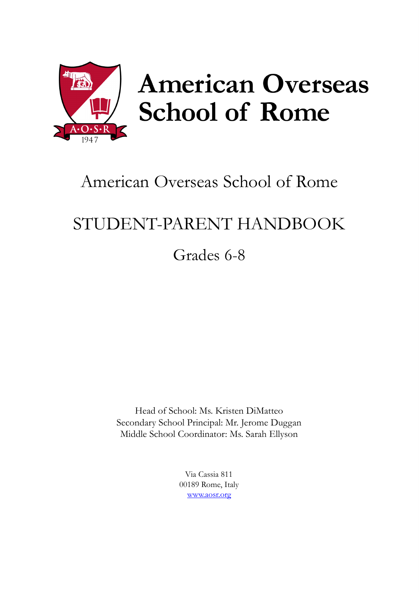

# **American Overseas School of Rome**

## American Overseas School of Rome

## STUDENT-PARENT HANDBOOK

Grades 6-8

Head of School: Ms. Kristen DiMatteo Secondary School Principal: Mr. Jerome Duggan Middle School Coordinator: Ms. Sarah Ellyson

> Via Cassia 811 00189 Rome, Italy [www.aosr.org](http://www.aosr.org/)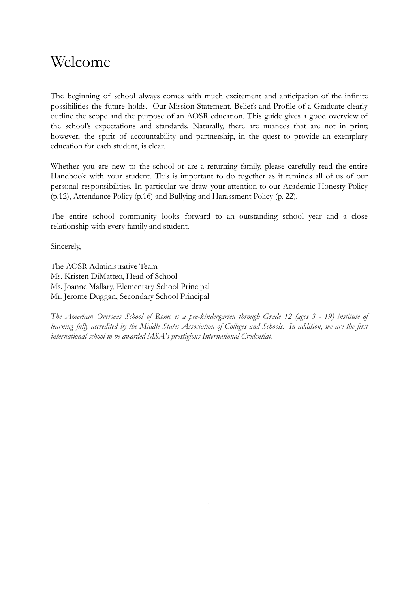## Welcome

The beginning of school always comes with much excitement and anticipation of the infinite possibilities the future holds. Our Mission Statement. Beliefs and Profile of a Graduate clearly outline the scope and the purpose of an AOSR education. This guide gives a good overview of the school's expectations and standards. Naturally, there are nuances that are not in print; however, the spirit of accountability and partnership, in the quest to provide an exemplary education for each student, is clear.

Whether you are new to the school or are a returning family, please carefully read the entire Handbook with your student. This is important to do together as it reminds all of us of our personal responsibilities. In particular we draw your attention to our Academic Honesty Policy (p.12), Attendance Policy (p.16) and Bullying and Harassment Policy (p. 22).

The entire school community looks forward to an outstanding school year and a close relationship with every family and student.

Sincerely,

The AOSR Administrative Team Ms. Kristen DiMatteo, Head of School Ms. Joanne Mallary, Elementary School Principal Mr. Jerome Duggan, Secondary School Principal

The American Overseas School of Rome is a pre-kindergarten through Grade 12 (ages 3 - 19) institute of learning fully accredited by the Middle States Association of Colleges and Schools. In addition, we are the first *international school to be awarded MSA's prestigious International Credential.*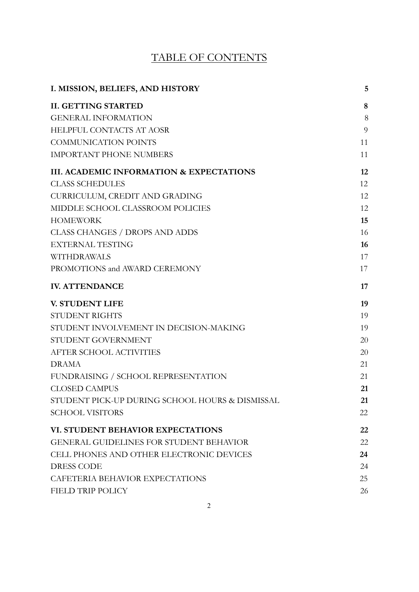## TABLE OF CONTENTS

| I. MISSION, BELIEFS, AND HISTORY                    | 5  |
|-----------------------------------------------------|----|
| <b>II. GETTING STARTED</b>                          | 8  |
| <b>GENERAL INFORMATION</b>                          | 8  |
| <b>HELPFUL CONTACTS AT AOSR</b>                     | 9  |
| <b>COMMUNICATION POINTS</b>                         | 11 |
| <b>IMPORTANT PHONE NUMBERS</b>                      | 11 |
| <b>III. ACADEMIC INFORMATION &amp; EXPECTATIONS</b> | 12 |
| <b>CLASS SCHEDULES</b>                              | 12 |
| CURRICULUM, CREDIT AND GRADING                      | 12 |
| MIDDLE SCHOOL CLASSROOM POLICIES                    | 12 |
| <b>HOMEWORK</b>                                     | 15 |
| <b>CLASS CHANGES / DROPS AND ADDS</b>               | 16 |
| <b>EXTERNAL TESTING</b>                             | 16 |
| WITHDRAWALS                                         | 17 |
| PROMOTIONS and AWARD CEREMONY                       | 17 |
| <b>IV. ATTENDANCE</b>                               | 17 |
| <b>V. STUDENT LIFE</b>                              | 19 |
| <b>STUDENT RIGHTS</b>                               | 19 |
| STUDENT INVOLVEMENT IN DECISION-MAKING              | 19 |
| STUDENT GOVERNMENT                                  | 20 |
| AFTER SCHOOL ACTIVITIES                             | 20 |
| <b>DRAMA</b>                                        | 21 |
| FUNDRAISING / SCHOOL REPRESENTATION                 | 21 |
| <b>CLOSED CAMPUS</b>                                | 21 |
| STUDENT PICK-UP DURING SCHOOL HOURS & DISMISSAL     | 21 |
| <b>SCHOOL VISITORS</b>                              | 22 |
| VI. STUDENT BEHAVIOR EXPECTATIONS                   | 22 |
| <b>GENERAL GUIDELINES FOR STUDENT BEHAVIOR</b>      | 22 |
| CELL PHONES AND OTHER ELECTRONIC DEVICES            | 24 |
| <b>DRESS CODE</b>                                   | 24 |
| CAFETERIA BEHAVIOR EXPECTATIONS                     | 25 |
| <b>FIELD TRIP POLICY</b>                            | 26 |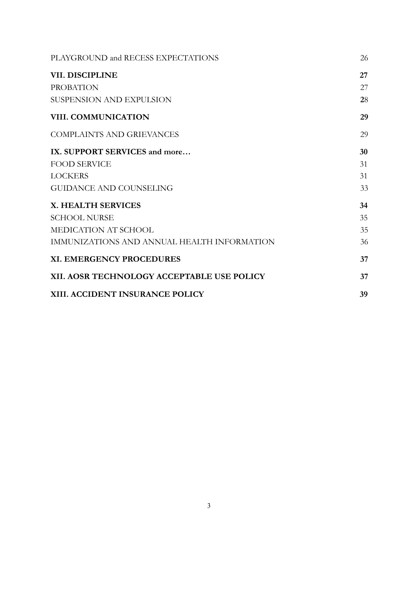| PLAYGROUND and RECESS EXPECTATIONS          | 26 |
|---------------------------------------------|----|
| VII. DISCIPLINE                             | 27 |
| <b>PROBATION</b>                            | 27 |
| <b>SUSPENSION AND EXPULSION</b>             | 28 |
| <b>VIII. COMMUNICATION</b>                  | 29 |
| <b>COMPLAINTS AND GRIEVANCES</b>            | 29 |
| IX. SUPPORT SERVICES and more               | 30 |
| <b>FOOD SERVICE</b>                         | 31 |
| <b>LOCKERS</b>                              | 31 |
| <b>GUIDANCE AND COUNSELING</b>              | 33 |
| <b>X. HEALTH SERVICES</b>                   | 34 |
| <b>SCHOOL NURSE</b>                         | 35 |
| <b>MEDICATION AT SCHOOL</b>                 | 35 |
| IMMUNIZATIONS AND ANNUAL HEALTH INFORMATION | 36 |
| <b>XI. EMERGENCY PROCEDURES</b>             | 37 |
| XII. AOSR TECHNOLOGY ACCEPTABLE USE POLICY  | 37 |
| XIII. ACCIDENT INSURANCE POLICY             | 39 |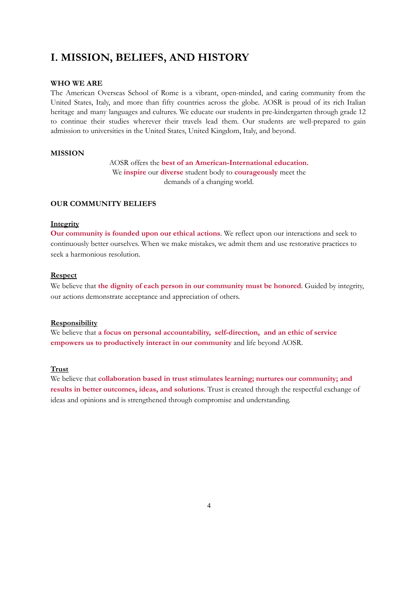## <span id="page-4-0"></span>**I. MISSION, BELIEFS, AND HISTORY**

#### **WHO WE ARE**

The American Overseas School of Rome is a vibrant, open-minded, and caring community from the United States, Italy, and more than fifty countries across the globe. AOSR is proud of its rich Italian heritage and many languages and cultures. We educate our students in pre-kindergarten through grade 12 to continue their studies wherever their travels lead them. Our students are well-prepared to gain admission to universities in the United States, United Kingdom, Italy, and beyond.

#### **MISSION**

AOSR offers the **best of an American-International education.** We **inspire** our **diverse** student body to **courageously** meet the demands of a changing world.

#### **OUR COMMUNITY BELIEFS**

#### **Integrity**

**Our community is founded upon our ethical actions**. We reflect upon our interactions and seek to continuously better ourselves. When we make mistakes, we admit them and use restorative practices to seek a harmonious resolution.

#### **Respect**

We believe that **the dignity of each person in our community must be honored**. Guided by integrity, our actions demonstrate acceptance and appreciation of others.

#### **Responsibility**

We believe that **a focus on personal accountability, self-direction, and an ethic of service empowers us to productively interact in our community** and life beyond AOSR.

#### **Trust**

We believe that **collaboration based in trust stimulates learning; nurtures our community; and results in better outcomes, ideas, and solutions**. Trust is created through the respectful exchange of ideas and opinions and is strengthened through compromise and understanding.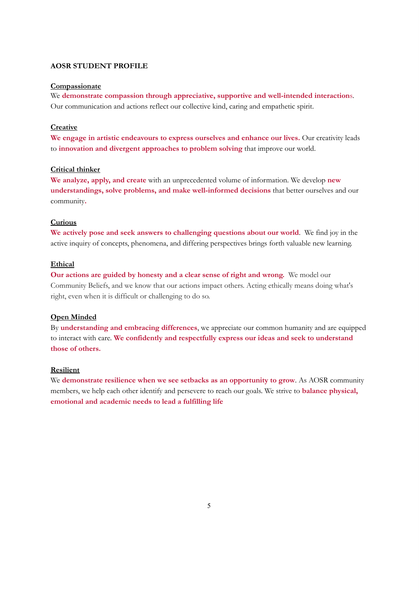#### **AOSR STUDENT PROFILE**

#### **Compassionate**

We **demonstrate compassion through appreciative, supportive and well-intended interaction**s. Our communication and actions reflect our collective kind, caring and empathetic spirit.

#### **Creative**

**We engage in artistic endeavours to express ourselves and enhance our lives.** Our creativity leads to **innovation and divergent approaches to problem solving** that improve our world.

#### **Critical thinker**

**We analyze, apply, and create** with an unprecedented volume of information. We develop **new understandings, solve problems, and make well-informed decisions** that better ourselves and our community**.**

#### **Curious**

**We actively pose and seek answers to challenging questions about our world**. We find joy in the active inquiry of concepts, phenomena, and differing perspectives brings forth valuable new learning.

#### **Ethical**

**Our actions are guided by honesty and a clear sense of right and wrong.** We model our Community Beliefs, and we know that our actions impact others. Acting ethically means doing what's right, even when it is difficult or challenging to do so.

#### **Open Minded**

By **understanding and embracing differences**, we appreciate our common humanity and are equipped to interact with care. **We confidently and respectfully express our ideas and seek to understand those of others.**

#### **Resilient**

We **demonstrate resilience when we see setbacks as an opportunity to grow**. As AOSR community members, we help each other identify and persevere to reach our goals. We strive to **balance physical, emotional and academic needs to lead a fulfilling life**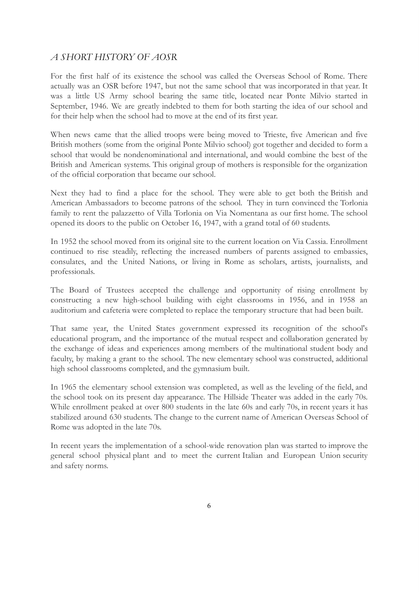#### *A SHORT HISTORY OF AOSR*

For the first half of its existence the school was called the Overseas School of Rome. There actually was an OSR before 1947, but not the same school that was incorporated in that year. It was a little US Army school bearing the same title, located near Ponte Milvio started in September, 1946. We are greatly indebted to them for both starting the idea of our school and for their help when the school had to move at the end of its first year.

When news came that the allied troops were being moved to Trieste, five American and five British mothers (some from the original Ponte Milvio school) got together and decided to form a school that would be nondenominational and international, and would combine the best of the British and American systems. This original group of mothers is responsible for the organization of the official corporation that became our school.

Next they had to find a place for the school. They were able to get both the British and American Ambassadors to become patrons of the school. They in turn convinced the Torlonia family to rent the palazzetto of Villa Torlonia on Via Nomentana as our first home. The school opened its doors to the public on October 16, 1947, with a grand total of 60 students.

In 1952 the school moved from its original site to the current location on Via Cassia. Enrollment continued to rise steadily, reflecting the increased numbers of parents assigned to embassies, consulates, and the United Nations, or living in Rome as scholars, artists, journalists, and professionals.

The Board of Trustees accepted the challenge and opportunity of rising enrollment by constructing a new high-school building with eight classrooms in 1956, and in 1958 an auditorium and cafeteria were completed to replace the temporary structure that had been built.

That same year, the United States government expressed its recognition of the school's educational program, and the importance of the mutual respect and collaboration generated by the exchange of ideas and experiences among members of the multinational student body and faculty, by making a grant to the school. The new elementary school was constructed, additional high school classrooms completed, and the gymnasium built.

In 1965 the elementary school extension was completed, as well as the leveling of the field, and the school took on its present day appearance. The Hillside Theater was added in the early 70s. While enrollment peaked at over 800 students in the late 60s and early 70s, in recent years it has stabilized around 630 students. The change to the current name of American Overseas School of Rome was adopted in the late 70s.

In recent years the implementation of a school-wide renovation plan was started to improve the general school physical plant and to meet the current Italian and European Union security and safety norms.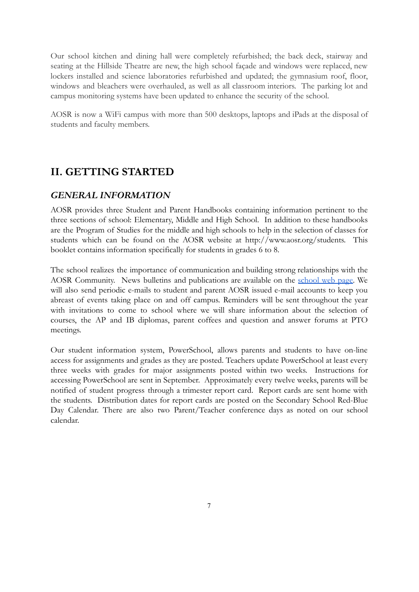Our school kitchen and dining hall were completely refurbished; the back deck, stairway and seating at the Hillside Theatre are new, the high school façade and windows were replaced, new lockers installed and science laboratories refurbished and updated; the gymnasium roof, floor, windows and bleachers were overhauled, as well as all classroom interiors. The parking lot and campus monitoring systems have been updated to enhance the security of the school.

AOSR is now a WiFi campus with more than 500 desktops, laptops and iPads at the disposal of students and faculty members.

## <span id="page-7-0"></span>**II. GETTING STARTED**

#### <span id="page-7-1"></span>*GENERAL INFORMATION*

AOSR provides three Student and Parent Handbooks containing information pertinent to the three sections of school: Elementary, Middle and High School. In addition to these handbooks are the Program of Studies for the middle and high schools to help in the selection of classes for students which can be found on the AOSR website at http://www.aosr.org/students. This booklet contains information specifically for students in grades 6 to 8.

The school realizes the importance of communication and building strong relationships with the AOSR Community. News bulletins and publications are available on the [school](https://www.aosr.org/) web page. We will also send periodic e-mails to student and parent AOSR issued e-mail accounts to keep you abreast of events taking place on and off campus. Reminders will be sent throughout the year with invitations to come to school where we will share information about the selection of courses, the AP and IB diplomas, parent coffees and question and answer forums at PTO meetings.

Our student information system, PowerSchool, allows parents and students to have on-line access for assignments and grades as they are posted. Teachers update PowerSchool at least every three weeks with grades for major assignments posted within two weeks. Instructions for accessing PowerSchool are sent in September. Approximately every twelve weeks, parents will be notified of student progress through a trimester report card. Report cards are sent home with the students. Distribution dates for report cards are posted on the Secondary School Red-Blue Day Calendar. There are also two Parent/Teacher conference days as noted on our school calendar.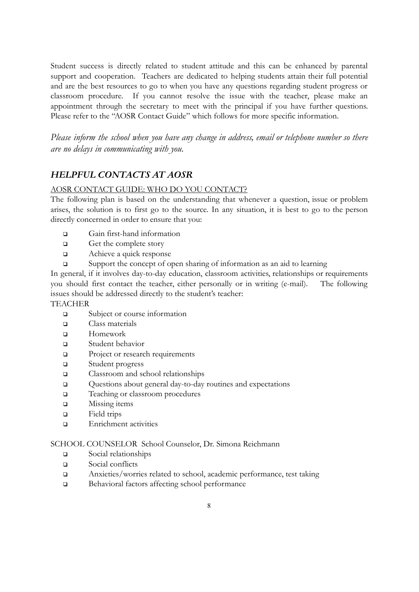Student success is directly related to student attitude and this can be enhanced by parental support and cooperation. Teachers are dedicated to helping students attain their full potential and are the best resources to go to when you have any questions regarding student progress or classroom procedure. If you cannot resolve the issue with the teacher, please make an appointment through the secretary to meet with the principal if you have further questions. Please refer to the "AOSR Contact Guide" which follows for more specific information.

*Please inform the school when you have any change in address, email or telephone number so there are no delays in communicating with you.*

#### <span id="page-8-0"></span>*HELPFUL CONTACTS AT AOSR*

#### AOSR CONTACT GUIDE: WHO DO YOU CONTACT?

The following plan is based on the understanding that whenever a question, issue or problem arises, the solution is to first go to the source. In any situation, it is best to go to the person directly concerned in order to ensure that you:

- ❑ Gain first-hand information
- ❑ Get the complete story
- ❑ Achieve a quick response
- ❑ Support the concept of open sharing of information as an aid to learning

In general, if it involves day-to-day education, classroom activities, relationships or requirements you should first contact the teacher, either personally or in writing (e-mail). The following issues should be addressed directly to the student's teacher:

#### TEACHER

- ❑ Subject or course information
- ❑ Class materials
- ❑ Homework
- ❑ Student behavior
- ❑ Project or research requirements
- ❑ Student progress
- ❑ Classroom and school relationships
- ❑ Questions about general day-to-day routines and expectations
- ❑ Teaching or classroom procedures
- ❑ Missing items
- ❑ Field trips
- ❑ Enrichment activities

#### SCHOOL COUNSELOR School Counselor, Dr. Simona Reichmann

- ❑ Social relationships
- ❑ Social conflicts
- ❑ Anxieties/worries related to school, academic performance, test taking
- ❑ Behavioral factors affecting school performance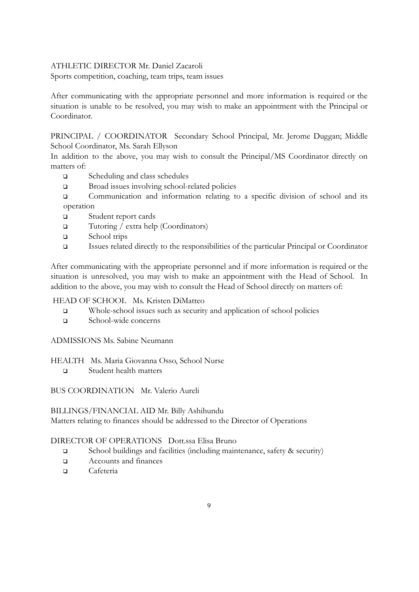#### ATHLETIC DIRECTOR Mr. Daniel Zacaroli

Sports competition, coaching, team trips, team issues

After communicating with the appropriate personnel and more information is required or the situation is unable to be resolved, you may wish to make an appointment with the Principal or Coordinator.

PRINCIPAL / COORDINATOR Secondary School Principal, Mr. Jerome Duggan; Middle School Coordinator, Ms. Sarah Ellyson

In addition to the above, you may wish to consult the Principal/MS Coordinator directly on matters of:

- ❑ Scheduling and class schedules
- ❑ Broad issues involving school-related policies
- ❑ Communication and information relating to a specific division of school and its operation
- ❑ Student report cards
- ❑ Tutoring / extra help (Coordinators)
- ❑ School trips
- ❑ Issues related directly to the responsibilities of the particular Principal or Coordinator

After communicating with the appropriate personnel and if more information is required or the situation is unresolved, you may wish to make an appointment with the Head of School. In addition to the above, you may wish to consult the Head of School directly on matters of:

#### HEAD OF SCHOOL Ms. Kristen DiMatteo

- ❑ Whole-school issues such as security and application of school policies
- ❑ School-wide concerns

ADMISSIONS Ms. Sabine Neumann

HEALTH Ms. Maria Giovanna Osso, School Nurse

❑ Student health matters

BUS COORDINATION Mr. Valerio Aureli

#### BILLINGS/FINANCIAL AID Mr. Billy Ashihundu Matters relating to finances should be addressed to the Director of Operations

#### DIRECTOR OF OPERATIONS Dott.ssa Elisa Bruno

- ❑ School buildings and facilities (including maintenance, safety & security)
- ❑ Accounts and finances
- ❑ Cafeteria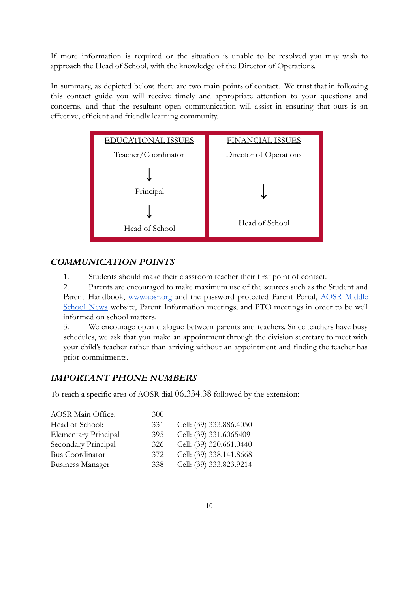If more information is required or the situation is unable to be resolved you may wish to approach the Head of School, with the knowledge of the Director of Operations.

In summary, as depicted below, there are two main points of contact. We trust that in following this contact guide you will receive timely and appropriate attention to your questions and concerns, and that the resultant open communication will assist in ensuring that ours is an effective, efficient and friendly learning community.



#### <span id="page-10-0"></span>*COMMUNICATION POINTS*

1. Students should make their classroom teacher their first point of contact.

2. Parents are encouraged to make maximum use of the sources such as the Student and Parent Handbook, [www.aosr.org](http://www.aosr.org/) and the password protected Parent Portal, AOSR [Middle](https://sites.google.com/aosr.org/aosrmiddleschoolnews/home?authuser=0) [School](https://sites.google.com/aosr.org/aosrmiddleschoolnews/home?authuser=0) News website, Parent Information meetings, and PTO meetings in order to be well informed on school matters.

3. We encourage open dialogue between parents and teachers. Since teachers have busy schedules, we ask that you make an appointment through the division secretary to meet with your child's teacher rather than arriving without an appointment and finding the teacher has prior commitments.

#### <span id="page-10-1"></span>*IMPORTANT PHONE NUMBERS*

To reach a specific area of AOSR dial 06.334.38 followed by the extension:

| <b>AOSR Main Office:</b>    | 300 |                         |
|-----------------------------|-----|-------------------------|
| Head of School:             | 331 | Cell: (39) 333.886.4050 |
| <b>Elementary Principal</b> | 395 | Cell: (39) 331.6065409  |
| Secondary Principal         | 326 | Cell: (39) 320.661.0440 |
| Bus Coordinator             | 372 | Cell: (39) 338.141.8668 |
| <b>Business Manager</b>     | 338 | Cell: (39) 333.823.9214 |
|                             |     |                         |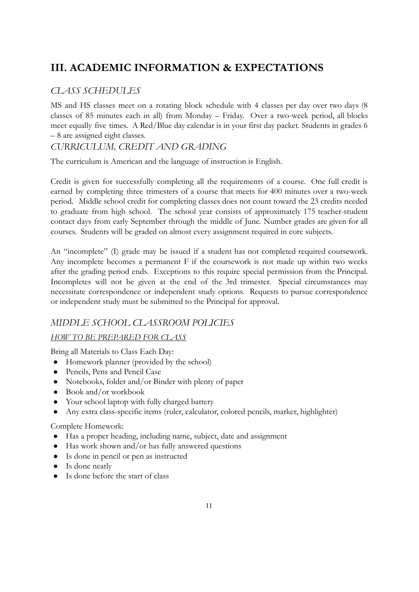## <span id="page-11-0"></span>**III. ACADEMIC INFORMATION & EXPECTATIONS**

## <span id="page-11-1"></span>*CLASS SCHEDULES*

MS and HS classes meet on a rotating block schedule with 4 classes per day over two days (8 classes of 85 minutes each in all) from Monday – Friday. Over a two-week period, all blocks meet equally five times. A Red/Blue day calendar is in your first day packet. Students in grades 6 – 8 are assigned eight classes.

### <span id="page-11-2"></span>*CURRICULUM, CREDIT AND GRADING*

The curriculum is American and the language of instruction is English.

Credit is given for successfully completing all the requirements of a course. One full credit is earned by completing three trimesters of a course that meets for 400 minutes over a two-week period. Middle school credit for completing classes does not count toward the 23 credits needed to graduate from high school. The school year consists of approximately 175 teacher-student contact days from early September through the middle of June. Number grades are given for all courses. Students will be graded on almost every assignment required in core subjects.

An "incomplete" (I) grade may be issued if a student has not completed required coursework. Any incomplete becomes a permanent F if the coursework is not made up within two weeks after the grading period ends. Exceptions to this require special permission from the Principal. Incompletes will not be given at the end of the 3rd trimester. Special circumstances may necessitate correspondence or independent study options. Requests to pursue correspondence or independent study must be submitted to the Principal for approval.

#### <span id="page-11-3"></span>*MIDDLE SCHOOL CLASSROOM POLICIES*

#### *HOW TO BE PREPARED FOR CLASS*

Bring all Materials to Class Each Day:

- Homework planner (provided by the school)
- Pencils, Pens and Pencil Case
- Notebooks, folder and/or Binder with plenty of paper
- Book and/or workbook
- Your school laptop with fully charged battery
- Any extra class-specific items (ruler, calculator, colored pencils, marker, highlighter)

#### Complete Homework:

- Has a proper heading, including name, subject, date and assignment
- Has work shown and/or has fully answered questions
- Is done in pencil or pen as instructed
- Is done neatly
- Is done before the start of class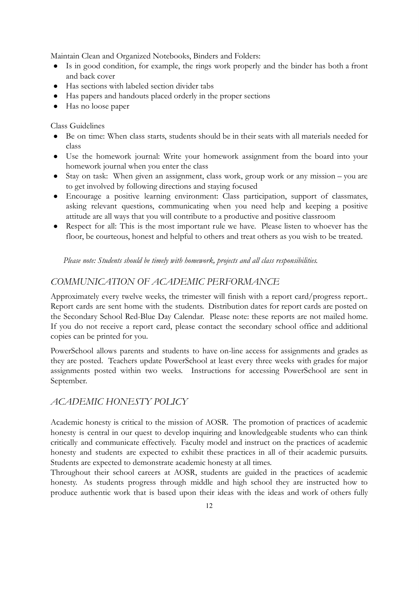Maintain Clean and Organized Notebooks, Binders and Folders:

- Is in good condition, for example, the rings work properly and the binder has both a front and back cover
- Has sections with labeled section divider tabs
- Has papers and handouts placed orderly in the proper sections
- Has no loose paper

#### Class Guidelines

- Be on time: When class starts, students should be in their seats with all materials needed for class
- Use the homework journal: Write your homework assignment from the board into your homework journal when you enter the class
- Stay on task: When given an assignment, class work, group work or any mission you are to get involved by following directions and staying focused
- Encourage a positive learning environment: Class participation, support of classmates, asking relevant questions, communicating when you need help and keeping a positive attitude are all ways that you will contribute to a productive and positive classroom
- Respect for all: This is the most important rule we have. Please listen to whoever has the floor, be courteous, honest and helpful to others and treat others as you wish to be treated.

*Please note: Students should be timely with homework, projects and all class responsibilities.*

#### *COMMUNICATION OF ACADEMIC PERFORMANCE*

Approximately every twelve weeks, the trimester will finish with a report card/progress report.. Report cards are sent home with the students. Distribution dates for report cards are posted on the Secondary School Red-Blue Day Calendar. Please note: these reports are not mailed home. If you do not receive a report card, please contact the secondary school office and additional copies can be printed for you.

PowerSchool allows parents and students to have on-line access for assignments and grades as they are posted. Teachers update PowerSchool at least every three weeks with grades for major assignments posted within two weeks. Instructions for accessing PowerSchool are sent in September.

#### *ACADEMIC HONESTY POLICY*

Academic honesty is critical to the mission of AOSR. The promotion of practices of academic honesty is central in our quest to develop inquiring and knowledgeable students who can think critically and communicate effectively. Faculty model and instruct on the practices of academic honesty and students are expected to exhibit these practices in all of their academic pursuits. Students are expected to demonstrate academic honesty at all times.

Throughout their school careers at AOSR, students are guided in the practices of academic honesty. As students progress through middle and high school they are instructed how to produce authentic work that is based upon their ideas with the ideas and work of others fully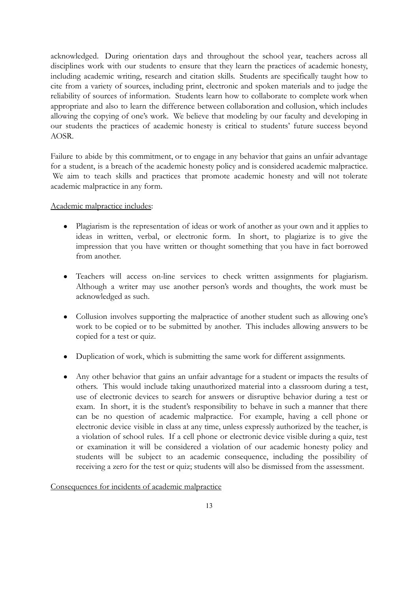acknowledged. During orientation days and throughout the school year, teachers across all disciplines work with our students to ensure that they learn the practices of academic honesty, including academic writing, research and citation skills. Students are specifically taught how to cite from a variety of sources, including print, electronic and spoken materials and to judge the reliability of sources of information. Students learn how to collaborate to complete work when appropriate and also to learn the difference between collaboration and collusion, which includes allowing the copying of one's work. We believe that modeling by our faculty and developing in our students the practices of academic honesty is critical to students' future success beyond AOSR.

Failure to abide by this commitment, or to engage in any behavior that gains an unfair advantage for a student, is a breach of the academic honesty policy and is considered academic malpractice. We aim to teach skills and practices that promote academic honesty and will not tolerate academic malpractice in any form.

#### Academic malpractice includes:

- Plagiarism is the representation of ideas or work of another as your own and it applies to ideas in written, verbal, or electronic form. In short, to plagiarize is to give the impression that you have written or thought something that you have in fact borrowed from another.
- Teachers will access on-line services to check written assignments for plagiarism. Although a writer may use another person's words and thoughts, the work must be acknowledged as such.
- Collusion involves supporting the malpractice of another student such as allowing one's work to be copied or to be submitted by another. This includes allowing answers to be copied for a test or quiz.
- Duplication of work, which is submitting the same work for different assignments.
- Any other behavior that gains an unfair advantage for a student or impacts the results of others. This would include taking unauthorized material into a classroom during a test, use of electronic devices to search for answers or disruptive behavior during a test or exam. In short, it is the student's responsibility to behave in such a manner that there can be no question of academic malpractice. For example, having a cell phone or electronic device visible in class at any time, unless expressly authorized by the teacher, is a violation of school rules. If a cell phone or electronic device visible during a quiz, test or examination it will be considered a violation of our academic honesty policy and students will be subject to an academic consequence, including the possibility of receiving a zero for the test or quiz; students will also be dismissed from the assessment.

#### Consequences for incidents of academic malpractice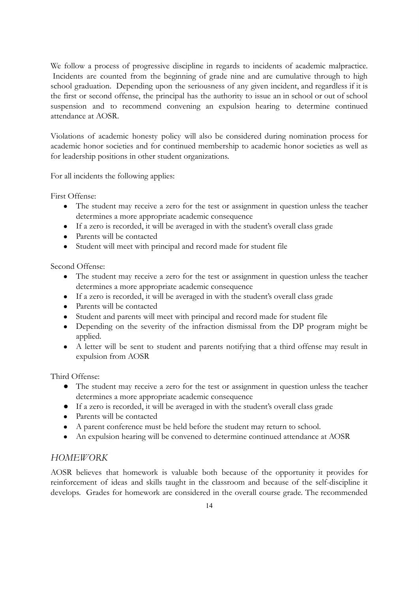We follow a process of progressive discipline in regards to incidents of academic malpractice. Incidents are counted from the beginning of grade nine and are cumulative through to high school graduation. Depending upon the seriousness of any given incident, and regardless if it is the first or second offense, the principal has the authority to issue an in school or out of school suspension and to recommend convening an expulsion hearing to determine continued attendance at AOSR.

Violations of academic honesty policy will also be considered during nomination process for academic honor societies and for continued membership to academic honor societies as well as for leadership positions in other student organizations.

For all incidents the following applies:

First Offense:

- The student may receive a zero for the test or assignment in question unless the teacher determines a more appropriate academic consequence
- If a zero is recorded, it will be averaged in with the student's overall class grade
- Parents will be contacted
- Student will meet with principal and record made for student file

Second Offense:

- The student may receive a zero for the test or assignment in question unless the teacher determines a more appropriate academic consequence
- If a zero is recorded, it will be averaged in with the student's overall class grade
- Parents will be contacted
- Student and parents will meet with principal and record made for student file
- Depending on the severity of the infraction dismissal from the DP program might be applied.
- A letter will be sent to student and parents notifying that a third offense may result in expulsion from AOSR

Third Offense:

- The student may receive a zero for the test or assignment in question unless the teacher determines a more appropriate academic consequence
- If a zero is recorded, it will be averaged in with the student's overall class grade
- Parents will be contacted
- A parent conference must be held before the student may return to school.
- An expulsion hearing will be convened to determine continued attendance at AOSR

#### <span id="page-14-0"></span>*HOMEWORK*

AOSR believes that homework is valuable both because of the opportunity it provides for reinforcement of ideas and skills taught in the classroom and because of the self-discipline it develops. Grades for homework are considered in the overall course grade. The recommended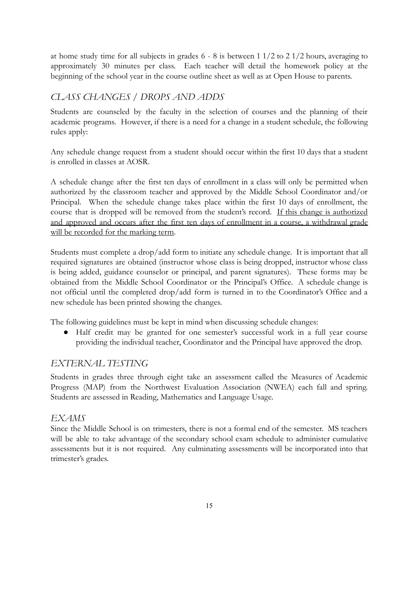at home study time for all subjects in grades 6 - 8 is between 1 1/2 to 2 1/2 hours, averaging to approximately 30 minutes per class. Each teacher will detail the homework policy at the beginning of the school year in the course outline sheet as well as at Open House to parents.

#### <span id="page-15-0"></span>*CLASS CHANGES / DROPS AND ADDS*

Students are counseled by the faculty in the selection of courses and the planning of their academic programs. However, if there is a need for a change in a student schedule, the following rules apply:

Any schedule change request from a student should occur within the first 10 days that a student is enrolled in classes at AOSR.

A schedule change after the first ten days of enrollment in a class will only be permitted when authorized by the classroom teacher and approved by the Middle School Coordinator and/or Principal. When the schedule change takes place within the first 10 days of enrollment, the course that is dropped will be removed from the student's record. If this change is authorized and approved and occurs after the first ten days of enrollment in a course, a withdrawal grade will be recorded for the marking term.

Students must complete a drop/add form to initiate any schedule change. It is important that all required signatures are obtained (instructor whose class is being dropped, instructor whose class is being added, guidance counselor or principal, and parent signatures). These forms may be obtained from the Middle School Coordinator or the Principal's Office. A schedule change is not official until the completed drop/add form is turned in to the Coordinator's Office and a new schedule has been printed showing the changes.

The following guidelines must be kept in mind when discussing schedule changes:

● Half credit may be granted for one semester's successful work in a full year course providing the individual teacher, Coordinator and the Principal have approved the drop.

#### <span id="page-15-1"></span>*EXTERNAL TESTING*

Students in grades three through eight take an assessment called the Measures of Academic Progress (MAP) from the Northwest Evaluation Association (NWEA) each fall and spring. Students are assessed in Reading, Mathematics and Language Usage.

#### *EXAMS*

Since the Middle School is on trimesters, there is not a formal end of the semester. MS teachers will be able to take advantage of the secondary school exam schedule to administer cumulative assessments but it is not required. Any culminating assessments will be incorporated into that trimester's grades.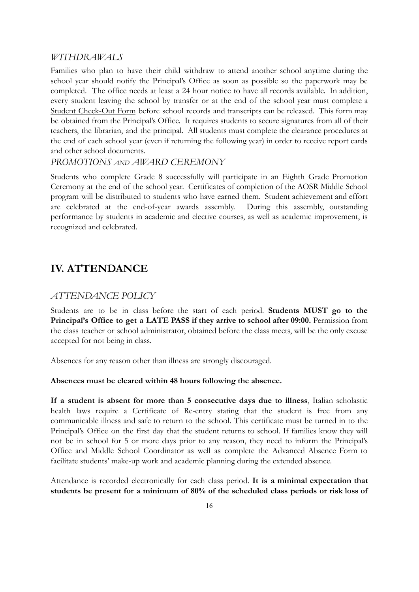#### <span id="page-16-0"></span>*WITHDRAWALS*

Families who plan to have their child withdraw to attend another school anytime during the school year should notify the Principal's Office as soon as possible so the paperwork may be completed. The office needs at least a 24 hour notice to have all records available. In addition, every student leaving the school by transfer or at the end of the school year must complete a Student Check-Out Form before school records and transcripts can be released. This form may be obtained from the Principal's Office. It requires students to secure signatures from all of their teachers, the librarian, and the principal. All students must complete the clearance procedures at the end of each school year (even if returning the following year) in order to receive report cards and other school documents.

#### <span id="page-16-1"></span>*PROMOTIONS AND AWARD CEREMONY*

Students who complete Grade 8 successfully will participate in an Eighth Grade Promotion Ceremony at the end of the school year. Certificates of completion of the AOSR Middle School program will be distributed to students who have earned them. Student achievement and effort are celebrated at the end-of-year awards assembly. During this assembly, outstanding performance by students in academic and elective courses, as well as academic improvement, is recognized and celebrated.

## <span id="page-16-2"></span>**IV. ATTENDANCE**

#### *ATTENDANCE POLICY*

Students are to be in class before the start of each period. **Students MUST go to the Principal's Office to get a LATE PASS if they arrive to school after 09:00.** Permission from the class teacher or school administrator, obtained before the class meets, will be the only excuse accepted for not being in class.

Absences for any reason other than illness are strongly discouraged.

#### **Absences must be cleared within 48 hours following the absence.**

**If a student is absent for more than 5 consecutive days due to illness**, Italian scholastic health laws require a Certificate of Re-entry stating that the student is free from any communicable illness and safe to return to the school. This certificate must be turned in to the Principal's Office on the first day that the student returns to school. If families know they will not be in school for 5 or more days prior to any reason, they need to inform the Principal's Office and Middle School Coordinator as well as complete the Advanced Absence Form to facilitate students' make-up work and academic planning during the extended absence.

Attendance is recorded electronically for each class period. **It is a minimal expectation that students be present for a minimum of 80% of the scheduled class periods or risk loss of**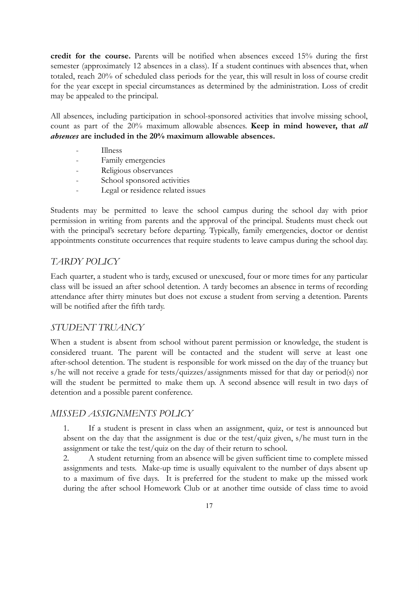**credit for the course.** Parents will be notified when absences exceed 15% during the first semester (approximately 12 absences in a class). If a student continues with absences that, when totaled, reach 20% of scheduled class periods for the year, this will result in loss of course credit for the year except in special circumstances as determined by the administration. Loss of credit may be appealed to the principal.

All absences, including participation in school-sponsored activities that involve missing school, count as part of the 20% maximum allowable absences. **Keep in mind however, that** *all absences* **are included in the 20% maximum allowable absences.**

- Illness
- Family emergencies
- Religious observances
- School sponsored activities
- Legal or residence related issues

Students may be permitted to leave the school campus during the school day with prior permission in writing from parents and the approval of the principal. Students must check out with the principal's secretary before departing. Typically, family emergencies, doctor or dentist appointments constitute occurrences that require students to leave campus during the school day.

#### *TARDY POLICY*

Each quarter, a student who is tardy, excused or unexcused, four or more times for any particular class will be issued an after school detention. A tardy becomes an absence in terms of recording attendance after thirty minutes but does not excuse a student from serving a detention. Parents will be notified after the fifth tardy.

#### *STUDENT TRUANCY*

When a student is absent from school without parent permission or knowledge, the student is considered truant. The parent will be contacted and the student will serve at least one after-school detention. The student is responsible for work missed on the day of the truancy but s/he will not receive a grade for tests/quizzes/assignments missed for that day or period(s) nor will the student be permitted to make them up. A second absence will result in two days of detention and a possible parent conference.

#### *MISSED ASSIGNMENTS POLICY*

1. If a student is present in class when an assignment, quiz, or test is announced but absent on the day that the assignment is due or the test/quiz given, s/he must turn in the assignment or take the test/quiz on the day of their return to school.

2. A student returning from an absence will be given sufficient time to complete missed assignments and tests. Make-up time is usually equivalent to the number of days absent up to a maximum of five days. It is preferred for the student to make up the missed work during the after school Homework Club or at another time outside of class time to avoid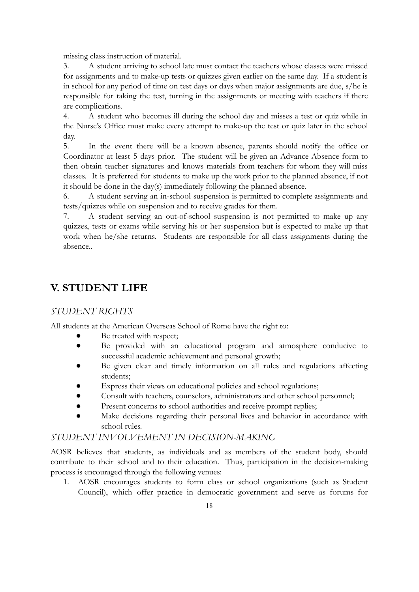missing class instruction of material.

3. A student arriving to school late must contact the teachers whose classes were missed for assignments and to make-up tests or quizzes given earlier on the same day. If a student is in school for any period of time on test days or days when major assignments are due, s/he is responsible for taking the test, turning in the assignments or meeting with teachers if there are complications.

4. A student who becomes ill during the school day and misses a test or quiz while in the Nurse's Office must make every attempt to make-up the test or quiz later in the school day.

5. In the event there will be a known absence, parents should notify the office or Coordinator at least 5 days prior. The student will be given an Advance Absence form to then obtain teacher signatures and knows materials from teachers for whom they will miss classes. It is preferred for students to make up the work prior to the planned absence, if not it should be done in the day(s) immediately following the planned absence.

6. A student serving an in-school suspension is permitted to complete assignments and tests/quizzes while on suspension and to receive grades for them.

7. A student serving an out-of-school suspension is not permitted to make up any quizzes, tests or exams while serving his or her suspension but is expected to make up that work when he/she returns. Students are responsible for all class assignments during the absence..

## <span id="page-18-0"></span>**V. STUDENT LIFE**

#### <span id="page-18-1"></span>*STUDENT RIGHTS*

All students at the American Overseas School of Rome have the right to:

- Be treated with respect;
- Be provided with an educational program and atmosphere conducive to successful academic achievement and personal growth;
- Be given clear and timely information on all rules and regulations affecting students;
- Express their views on educational policies and school regulations;
- Consult with teachers, counselors, administrators and other school personnel;
- Present concerns to school authorities and receive prompt replies;
- Make decisions regarding their personal lives and behavior in accordance with school rules.

#### <span id="page-18-2"></span>*STUDENT INVOLVEMENT IN DECISION-MAKING*

AOSR believes that students, as individuals and as members of the student body, should contribute to their school and to their education. Thus, participation in the decision-making process is encouraged through the following venues:

1. AOSR encourages students to form class or school organizations (such as Student Council), which offer practice in democratic government and serve as forums for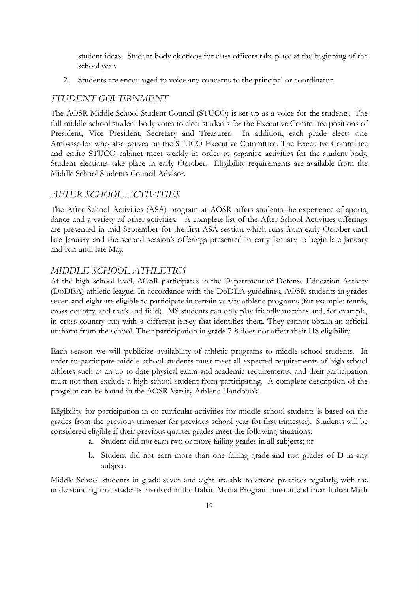student ideas. Student body elections for class officers take place at the beginning of the school year.

2. Students are encouraged to voice any concerns to the principal or coordinator.

#### <span id="page-19-0"></span>*STUDENT GOVERNMENT*

The AOSR Middle School Student Council (STUCO) is set up as a voice for the students. The full middle school student body votes to elect students for the Executive Committee positions of President, Vice President, Secretary and Treasurer. In addition, each grade elects one Ambassador who also serves on the STUCO Executive Committee. The Executive Committee and entire STUCO cabinet meet weekly in order to organize activities for the student body. Student elections take place in early October. Eligibility requirements are available from the Middle School Students Council Advisor.

#### <span id="page-19-1"></span>*AFTER SCHOOL ACTIVITIES*

The After School Activities (ASA) program at AOSR offers students the experience of sports, dance and a variety of other activities. A complete list of the After School Activities offerings are presented in mid-September for the first ASA session which runs from early October until late January and the second session's offerings presented in early January to begin late January and run until late May.

#### *MIDDLE SCHOOL ATHLETICS*

At the high school level, AOSR participates in the Department of Defense Education Activity (DoDEA) athletic league. In accordance with the DoDEA guidelines, AOSR students in grades seven and eight are eligible to participate in certain varsity athletic programs (for example: tennis, cross country, and track and field). MS students can only play friendly matches and, for example, in cross-country run with a different jersey that identifies them. They cannot obtain an official uniform from the school. Their participation in grade 7-8 does not affect their HS eligibility.

Each season we will publicize availability of athletic programs to middle school students. In order to participate middle school students must meet all expected requirements of high school athletes such as an up to date physical exam and academic requirements, and their participation must not then exclude a high school student from participating. A complete description of the program can be found in the AOSR Varsity Athletic Handbook.

Eligibility for participation in co-curricular activities for middle school students is based on the grades from the previous trimester (or previous school year for first trimester). Students will be considered eligible if their previous quarter grades meet the following situations:

- a. Student did not earn two or more failing grades in all subjects; or
- b. Student did not earn more than one failing grade and two grades of D in any subject.

Middle School students in grade seven and eight are able to attend practices regularly, with the understanding that students involved in the Italian Media Program must attend their Italian Math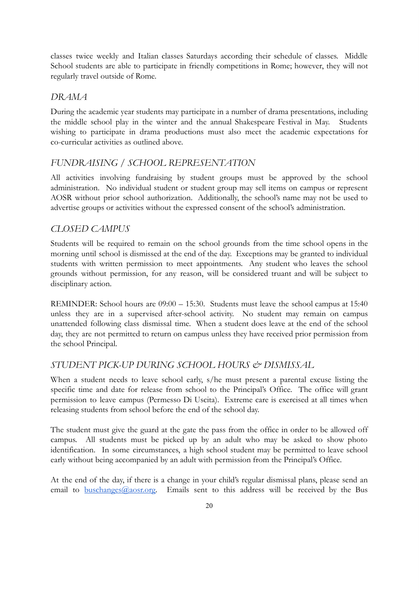classes twice weekly and Italian classes Saturdays according their schedule of classes. Middle School students are able to participate in friendly competitions in Rome; however, they will not regularly travel outside of Rome.

#### <span id="page-20-0"></span>*DRAMA*

During the academic year students may participate in a number of drama presentations, including the middle school play in the winter and the annual Shakespeare Festival in May. Students wishing to participate in drama productions must also meet the academic expectations for co-curricular activities as outlined above.

#### <span id="page-20-1"></span>*FUNDRAISING / SCHOOL REPRESENTATION*

All activities involving fundraising by student groups must be approved by the school administration. No individual student or student group may sell items on campus or represent AOSR without prior school authorization. Additionally, the school's name may not be used to advertise groups or activities without the expressed consent of the school's administration.

#### <span id="page-20-2"></span>*CLOSED CAMPUS*

Students will be required to remain on the school grounds from the time school opens in the morning until school is dismissed at the end of the day. Exceptions may be granted to individual students with written permission to meet appointments. Any student who leaves the school grounds without permission, for any reason, will be considered truant and will be subject to disciplinary action.

REMINDER: School hours are 09:00 – 15:30. Students must leave the school campus at 15:40 unless they are in a supervised after-school activity. No student may remain on campus unattended following class dismissal time. When a student does leave at the end of the school day, they are not permitted to return on campus unless they have received prior permission from the school Principal.

#### <span id="page-20-3"></span>*STUDENT PICK-UP DURING SCHOOL HOURS & DISMISSAL*

When a student needs to leave school early, s/he must present a parental excuse listing the specific time and date for release from school to the Principal's Office. The office will grant permission to leave campus (Permesso Di Uscita). Extreme care is exercised at all times when releasing students from school before the end of the school day.

The student must give the guard at the gate the pass from the office in order to be allowed off campus. All students must be picked up by an adult who may be asked to show photo identification. In some circumstances, a high school student may be permitted to leave school early without being accompanied by an adult with permission from the Principal's Office.

At the end of the day, if there is a change in your child's regular dismissal plans, please send an email to  $\underline{buschanges}$   $@{}_{aOST.org}$ . Emails sent to this address will be received by the Bus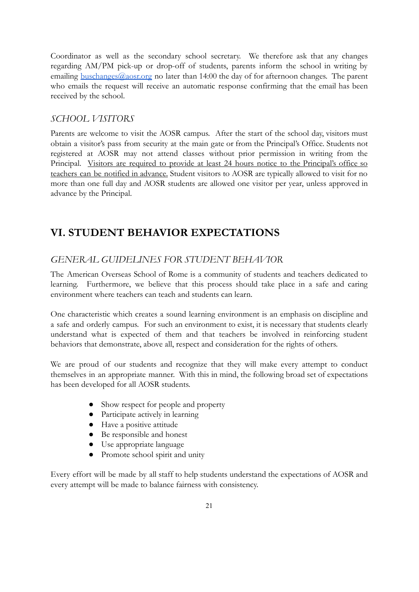Coordinator as well as the secondary school secretary. We therefore ask that any changes regarding AM/PM pick-up or drop-off of students, parents inform the school in writing by emailing  $\underline{buschanges}(\omega_{\text{aOST.org}})$  no later than 14:00 the day of for afternoon changes. The parent who emails the request will receive an automatic response confirming that the email has been received by the school.

#### <span id="page-21-0"></span>*SCHOOL VISITORS*

Parents are welcome to visit the AOSR campus. After the start of the school day, visitors must obtain a visitor's pass from security at the main gate or from the Principal's Office. Students not registered at AOSR may not attend classes without prior permission in writing from the Principal. Visitors are required to provide at least 24 hours notice to the Principal's office so teachers can be notified in advance. Student visitors to AOSR are typically allowed to visit for no more than one full day and AOSR students are allowed one visitor per year, unless approved in advance by the Principal.

## <span id="page-21-1"></span>**VI. STUDENT BEHAVIOR EXPECTATIONS**

#### <span id="page-21-2"></span>*GENERAL GUIDELINES FOR STUDENT BEHAVIOR*

The American Overseas School of Rome is a community of students and teachers dedicated to learning. Furthermore, we believe that this process should take place in a safe and caring environment where teachers can teach and students can learn.

One characteristic which creates a sound learning environment is an emphasis on discipline and a safe and orderly campus. For such an environment to exist, it is necessary that students clearly understand what is expected of them and that teachers be involved in reinforcing student behaviors that demonstrate, above all, respect and consideration for the rights of others.

We are proud of our students and recognize that they will make every attempt to conduct themselves in an appropriate manner. With this in mind, the following broad set of expectations has been developed for all AOSR students.

- Show respect for people and property
- Participate actively in learning
- Have a positive attitude
- Be responsible and honest
- Use appropriate language
- Promote school spirit and unity

Every effort will be made by all staff to help students understand the expectations of AOSR and every attempt will be made to balance fairness with consistency.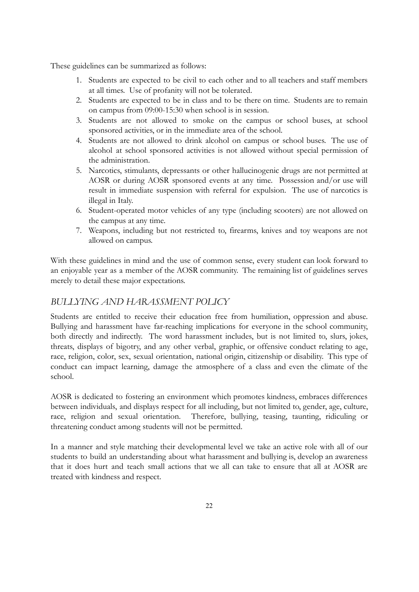These guidelines can be summarized as follows:

- 1. Students are expected to be civil to each other and to all teachers and staff members at all times. Use of profanity will not be tolerated.
- 2. Students are expected to be in class and to be there on time. Students are to remain on campus from 09:00-15:30 when school is in session.
- 3. Students are not allowed to smoke on the campus or school buses, at school sponsored activities, or in the immediate area of the school.
- 4. Students are not allowed to drink alcohol on campus or school buses. The use of alcohol at school sponsored activities is not allowed without special permission of the administration.
- 5. Narcotics, stimulants, depressants or other hallucinogenic drugs are not permitted at AOSR or during AOSR sponsored events at any time. Possession and/or use will result in immediate suspension with referral for expulsion. The use of narcotics is illegal in Italy.
- 6. Student-operated motor vehicles of any type (including scooters) are not allowed on the campus at any time.
- 7. Weapons, including but not restricted to, firearms, knives and toy weapons are not allowed on campus.

With these guidelines in mind and the use of common sense, every student can look forward to an enjoyable year as a member of the AOSR community. The remaining list of guidelines serves merely to detail these major expectations.

#### *BULLYING AND HARASSMENT POLICY*

Students are entitled to receive their education free from humiliation, oppression and abuse. Bullying and harassment have far-reaching implications for everyone in the school community, both directly and indirectly. The word harassment includes, but is not limited to, slurs, jokes, threats, displays of bigotry, and any other verbal, graphic, or offensive conduct relating to age, race, religion, color, sex, sexual orientation, national origin, citizenship or disability. This type of conduct can impact learning, damage the atmosphere of a class and even the climate of the school.

AOSR is dedicated to fostering an environment which promotes kindness, embraces differences between individuals, and displays respect for all including, but not limited to, gender, age, culture, race, religion and sexual orientation. Therefore, bullying, teasing, taunting, ridiculing or threatening conduct among students will not be permitted.

In a manner and style matching their developmental level we take an active role with all of our students to build an understanding about what harassment and bullying is, develop an awareness that it does hurt and teach small actions that we all can take to ensure that all at AOSR are treated with kindness and respect.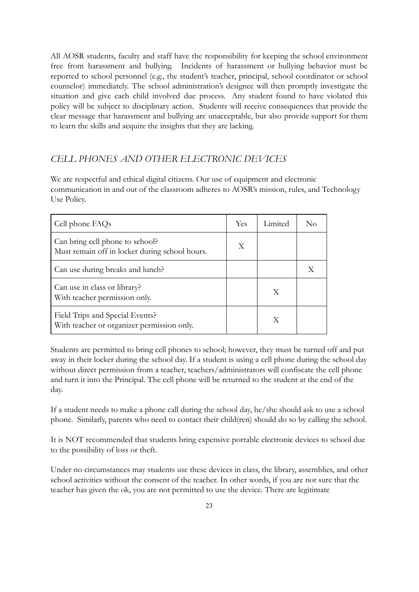All AOSR students, faculty and staff have the responsibility for keeping the school environment free from harassment and bullying. Incidents of harassment or bullying behavior must be reported to school personnel (e.g., the student's teacher, principal, school coordinator or school counselor) immediately. The school administration's designee will then promptly investigate the situation and give each child involved due process. Any student found to have violated this policy will be subject to disciplinary action. Students will receive consequences that provide the clear message that harassment and bullying are unacceptable, but also provide support for them to learn the skills and acquire the insights that they are lacking.

#### <span id="page-23-0"></span>*CELL PHONES AND OTHER ELECTRONIC DEVICES*

We are respectful and ethical digital citizens. Our use of equipment and electronic communication in and out of the classroom adheres to AOSR's mission, rules, and Technology Use Policy.

| Cell phone FAQs                                                                   | Yes | Limited | Nο |
|-----------------------------------------------------------------------------------|-----|---------|----|
| Can bring cell phone to school?<br>Must remain off in locker during school hours. | X   |         |    |
| Can use during breaks and lunch?                                                  |     |         |    |
| Can use in class or library?<br>With teacher permission only.                     |     | X       |    |
| Field Trips and Special Events?<br>With teacher or organizer permission only.     |     | Х       |    |

Students are permitted to bring cell phones to school; however, they must be turned off and put away in their locker during the school day. If a student is using a cell phone during the school day without direct permission from a teacher, teachers/administrators will confiscate the cell phone and turn it into the Principal. The cell phone will be returned to the student at the end of the day.

If a student needs to make a phone call during the school day, he/she should ask to use a school phone. Similarly, parents who need to contact their child(ren) should do so by calling the school.

It is NOT recommended that students bring expensive portable electronic devices to school due to the possibility of loss or theft.

Under no circumstances may students use these devices in class, the library, assemblies, and other school activities without the consent of the teacher. In other words, if you are not sure that the teacher has given the ok, you are not permitted to use the device. There are legitimate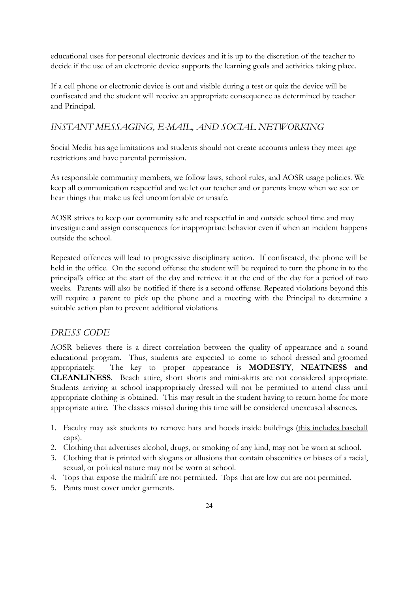educational uses for personal electronic devices and it is up to the discretion of the teacher to decide if the use of an electronic device supports the learning goals and activities taking place.

If a cell phone or electronic device is out and visible during a test or quiz the device will be confiscated and the student will receive an appropriate consequence as determined by teacher and Principal.

#### *INSTANT MESSAGING, E-MAIL, AND SOCIAL NETWORKING*

Social Media has age limitations and students should not create accounts unless they meet age restrictions and have parental permission.

As responsible community members, we follow laws, school rules, and AOSR usage policies. We keep all communication respectful and we let our teacher and or parents know when we see or hear things that make us feel uncomfortable or unsafe.

AOSR strives to keep our community safe and respectful in and outside school time and may investigate and assign consequences for inappropriate behavior even if when an incident happens outside the school.

Repeated offences will lead to progressive disciplinary action. If confiscated, the phone will be held in the office. On the second offense the student will be required to turn the phone in to the principal's office at the start of the day and retrieve it at the end of the day for a period of two weeks. Parents will also be notified if there is a second offense. Repeated violations beyond this will require a parent to pick up the phone and a meeting with the Principal to determine a suitable action plan to prevent additional violations.

#### <span id="page-24-0"></span>*DRESS CODE*

AOSR believes there is a direct correlation between the quality of appearance and a sound educational program. Thus, students are expected to come to school dressed and groomed appropriately. The key to proper appearance is **MODESTY**, **NEATNESS and CLEANLINESS**. Beach attire, short shorts and mini-skirts are not considered appropriate. Students arriving at school inappropriately dressed will not be permitted to attend class until appropriate clothing is obtained. This may result in the student having to return home for more appropriate attire. The classes missed during this time will be considered unexcused absences.

- 1. Faculty may ask students to remove hats and hoods inside buildings (this includes baseball caps).
- 2. Clothing that advertises alcohol, drugs, or smoking of any kind, may not be worn at school.
- 3. Clothing that is printed with slogans or allusions that contain obscenities or biases of a racial, sexual, or political nature may not be worn at school.
- 4. Tops that expose the midriff are not permitted. Tops that are low cut are not permitted.
- 5. Pants must cover under garments.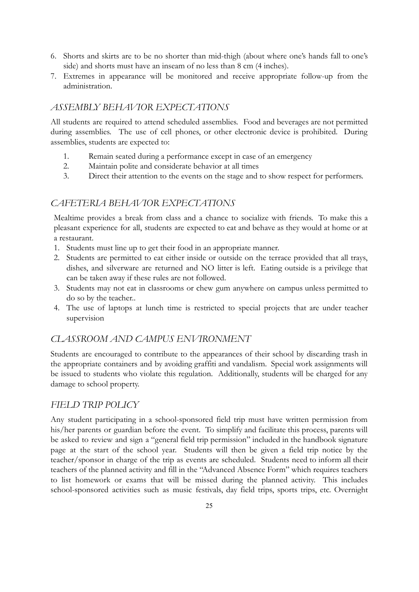- 6. Shorts and skirts are to be no shorter than mid-thigh (about where one's hands fall to one's side) and shorts must have an inseam of no less than 8 cm (4 inches).
- 7. Extremes in appearance will be monitored and receive appropriate follow-up from the administration.

#### *ASSEMBLY BEHAVIOR EXPECTATIONS*

All students are required to attend scheduled assemblies. Food and beverages are not permitted during assemblies. The use of cell phones, or other electronic device is prohibited. During assemblies, students are expected to:

- 1. Remain seated during a performance except in case of an emergency
- 2. Maintain polite and considerate behavior at all times
- 3. Direct their attention to the events on the stage and to show respect for performers.

#### <span id="page-25-0"></span>*CAFETERIA BEHAVIOR EXPECTATIONS*

Mealtime provides a break from class and a chance to socialize with friends. To make this a pleasant experience for all, students are expected to eat and behave as they would at home or at a restaurant.

- 1. Students must line up to get their food in an appropriate manner.
- 2. Students are permitted to eat either inside or outside on the terrace provided that all trays, dishes, and silverware are returned and NO litter is left. Eating outside is a privilege that can be taken away if these rules are not followed.
- 3. Students may not eat in classrooms or chew gum anywhere on campus unless permitted to do so by the teacher..
- 4. The use of laptops at lunch time is restricted to special projects that are under teacher supervision

#### *CLASSROOM AND CAMPUS ENVIRONMENT*

Students are encouraged to contribute to the appearances of their school by discarding trash in the appropriate containers and by avoiding graffiti and vandalism. Special work assignments will be issued to students who violate this regulation. Additionally, students will be charged for any damage to school property.

#### <span id="page-25-1"></span>*FIELD TRIP POLICY*

Any student participating in a school-sponsored field trip must have written permission from his/her parents or guardian before the event. To simplify and facilitate this process, parents will be asked to review and sign a "general field trip permission" included in the handbook signature page at the start of the school year. Students will then be given a field trip notice by the teacher/sponsor in charge of the trip as events are scheduled. Students need to inform all their teachers of the planned activity and fill in the "Advanced Absence Form" which requires teachers to list homework or exams that will be missed during the planned activity. This includes school-sponsored activities such as music festivals, day field trips, sports trips, etc. Overnight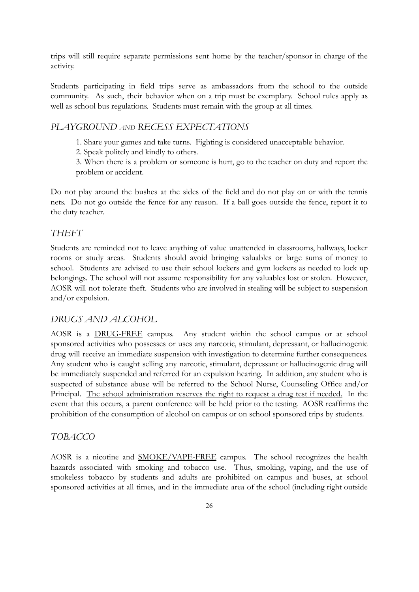trips will still require separate permissions sent home by the teacher/sponsor in charge of the activity.

Students participating in field trips serve as ambassadors from the school to the outside community. As such, their behavior when on a trip must be exemplary. School rules apply as well as school bus regulations. Students must remain with the group at all times.

#### <span id="page-26-0"></span>*PLAYGROUND AND RECESS EXPECTATIONS*

1. Share your games and take turns. Fighting is considered unacceptable behavior.

2. Speak politely and kindly to others.

3. When there is a problem or someone is hurt, go to the teacher on duty and report the problem or accident.

Do not play around the bushes at the sides of the field and do not play on or with the tennis nets. Do not go outside the fence for any reason. If a ball goes outside the fence, report it to the duty teacher.

#### *THEFT*

Students are reminded not to leave anything of value unattended in classrooms, hallways, locker rooms or study areas. Students should avoid bringing valuables or large sums of money to school. Students are advised to use their school lockers and gym lockers as needed to lock up belongings. The school will not assume responsibility for any valuables lost or stolen. However, AOSR will not tolerate theft. Students who are involved in stealing will be subject to suspension and/or expulsion.

#### *DRUGS AND ALCOHOL*

AOSR is a DRUG-FREE campus. Any student within the school campus or at school sponsored activities who possesses or uses any narcotic, stimulant, depressant, or hallucinogenic drug will receive an immediate suspension with investigation to determine further consequences. Any student who is caught selling any narcotic, stimulant, depressant or hallucinogenic drug will be immediately suspended and referred for an expulsion hearing. In addition, any student who is suspected of substance abuse will be referred to the School Nurse, Counseling Office and/or Principal. The school administration reserves the right to request a drug test if needed. In the event that this occurs, a parent conference will be held prior to the testing. AOSR reaffirms the prohibition of the consumption of alcohol on campus or on school sponsored trips by students.

#### *TOBACCO*

AOSR is a nicotine and SMOKE/VAPE-FREE campus. The school recognizes the health hazards associated with smoking and tobacco use. Thus, smoking, vaping, and the use of smokeless tobacco by students and adults are prohibited on campus and buses, at school sponsored activities at all times, and in the immediate area of the school (including right outside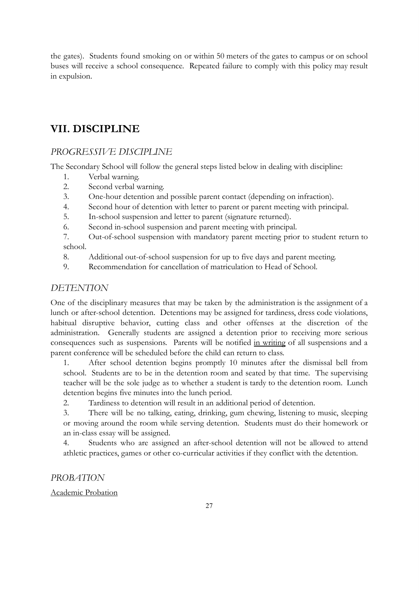the gates). Students found smoking on or within 50 meters of the gates to campus or on school buses will receive a school consequence. Repeated failure to comply with this policy may result in expulsion.

## <span id="page-27-0"></span>**VII. DISCIPLINE**

#### *PROGRESSIVE DISCIPLINE*

The Secondary School will follow the general steps listed below in dealing with discipline:

- 1. Verbal warning.
- 2. Second verbal warning.
- 3. One-hour detention and possible parent contact (depending on infraction).
- 4. Second hour of detention with letter to parent or parent meeting with principal.
- 5. In-school suspension and letter to parent (signature returned).
- 6. Second in-school suspension and parent meeting with principal.

7. Out-of-school suspension with mandatory parent meeting prior to student return to school.

- 8. Additional out-of-school suspension for up to five days and parent meeting.
- 9. Recommendation for cancellation of matriculation to Head of School.

#### *DETENTION*

One of the disciplinary measures that may be taken by the administration is the assignment of a lunch or after-school detention. Detentions may be assigned for tardiness, dress code violations, habitual disruptive behavior, cutting class and other offenses at the discretion of the administration. Generally students are assigned a detention prior to receiving more serious consequences such as suspensions. Parents will be notified in writing of all suspensions and a parent conference will be scheduled before the child can return to class.

1. After school detention begins promptly 10 minutes after the dismissal bell from school. Students are to be in the detention room and seated by that time. The supervising teacher will be the sole judge as to whether a student is tardy to the detention room. Lunch detention begins five minutes into the lunch period.

2. Tardiness to detention will result in an additional period of detention.

3. There will be no talking, eating, drinking, gum chewing, listening to music, sleeping or moving around the room while serving detention. Students must do their homework or an in-class essay will be assigned.

4. Students who are assigned an after-school detention will not be allowed to attend athletic practices, games or other co-curricular activities if they conflict with the detention.

#### <span id="page-27-1"></span>*PROBATION*

#### Academic Probation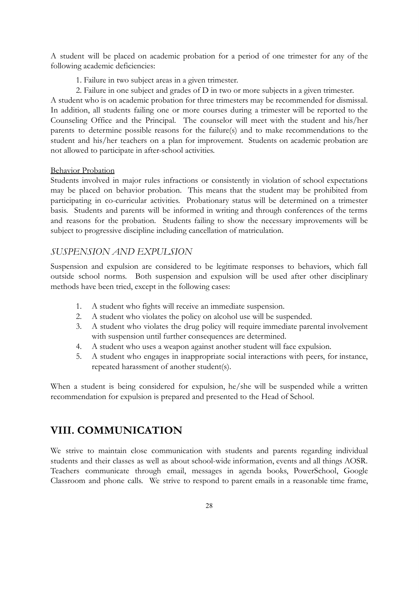A student will be placed on academic probation for a period of one trimester for any of the following academic deficiencies:

- 1. Failure in two subject areas in a given trimester.
- 2. Failure in one subject and grades of D in two or more subjects in a given trimester.

A student who is on academic probation for three trimesters may be recommended for dismissal. In addition, all students failing one or more courses during a trimester will be reported to the Counseling Office and the Principal. The counselor will meet with the student and his/her parents to determine possible reasons for the failure(s) and to make recommendations to the student and his/her teachers on a plan for improvement. Students on academic probation are not allowed to participate in after-school activities.

#### Behavior Probation

Students involved in major rules infractions or consistently in violation of school expectations may be placed on behavior probation. This means that the student may be prohibited from participating in co-curricular activities. Probationary status will be determined on a trimester basis. Students and parents will be informed in writing and through conferences of the terms and reasons for the probation. Students failing to show the necessary improvements will be subject to progressive discipline including cancellation of matriculation.

#### <span id="page-28-0"></span>*SUSPENSION AND EXPULSION*

Suspension and expulsion are considered to be legitimate responses to behaviors, which fall outside school norms. Both suspension and expulsion will be used after other disciplinary methods have been tried, except in the following cases:

- 1. A student who fights will receive an immediate suspension.
- 2. A student who violates the policy on alcohol use will be suspended.
- 3. A student who violates the drug policy will require immediate parental involvement with suspension until further consequences are determined.
- 4. A student who uses a weapon against another student will face expulsion.
- 5. A student who engages in inappropriate social interactions with peers, for instance, repeated harassment of another student(s).

When a student is being considered for expulsion, he/she will be suspended while a written recommendation for expulsion is prepared and presented to the Head of School.

#### <span id="page-28-1"></span>**VIII. COMMUNICATION**

We strive to maintain close communication with students and parents regarding individual students and their classes as well as about school-wide information, events and all things AOSR. Teachers communicate through email, messages in agenda books, PowerSchool, Google Classroom and phone calls. We strive to respond to parent emails in a reasonable time frame,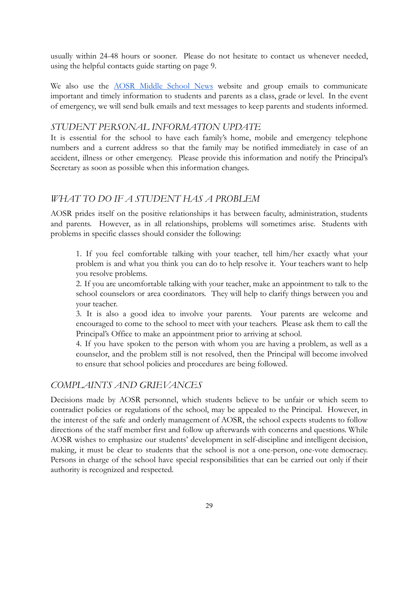usually within 24-48 hours or sooner. Please do not hesitate to contact us whenever needed, using the helpful contacts guide starting on page 9.

We also use the **AOSR** [Middle](https://sites.google.com/aosr.org/aosrmiddleschoolnews/home?authuser=0) School News website and group emails to communicate important and timely information to students and parents as a class, grade or level. In the event of emergency, we will send bulk emails and text messages to keep parents and students informed.

#### *STUDENT PERSONAL INFORMATION UPDATE*

It is essential for the school to have each family's home, mobile and emergency telephone numbers and a current address so that the family may be notified immediately in case of an accident, illness or other emergency. Please provide this information and notify the Principal's Secretary as soon as possible when this information changes.

#### *WHAT TO DO IF A STUDENT HAS A PROBLEM*

AOSR prides itself on the positive relationships it has between faculty, administration, students and parents. However, as in all relationships, problems will sometimes arise. Students with problems in specific classes should consider the following:

1. If you feel comfortable talking with your teacher, tell him/her exactly what your problem is and what you think you can do to help resolve it. Your teachers want to help you resolve problems.

2. If you are uncomfortable talking with your teacher, make an appointment to talk to the school counselors or area coordinators. They will help to clarify things between you and your teacher.

3. It is also a good idea to involve your parents. Your parents are welcome and encouraged to come to the school to meet with your teachers. Please ask them to call the Principal's Office to make an appointment prior to arriving at school.

4. If you have spoken to the person with whom you are having a problem, as well as a counselor, and the problem still is not resolved, then the Principal will become involved to ensure that school policies and procedures are being followed.

#### <span id="page-29-0"></span>*COMPLAINTS AND GRIEVANCES*

Decisions made by AOSR personnel, which students believe to be unfair or which seem to contradict policies or regulations of the school, may be appealed to the Principal. However, in the interest of the safe and orderly management of AOSR, the school expects students to follow directions of the staff member first and follow up afterwards with concerns and questions. While AOSR wishes to emphasize our students' development in self-discipline and intelligent decision, making, it must be clear to students that the school is not a one-person, one-vote democracy. Persons in charge of the school have special responsibilities that can be carried out only if their authority is recognized and respected.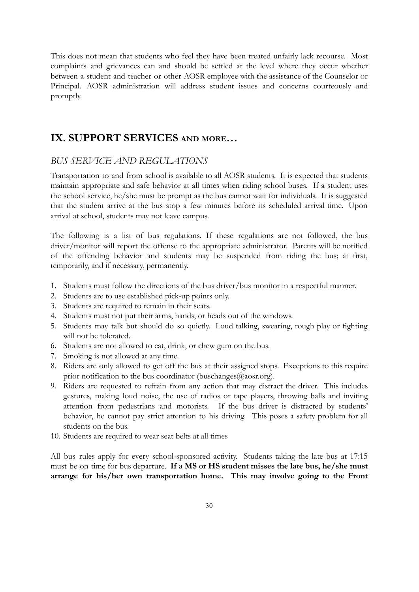This does not mean that students who feel they have been treated unfairly lack recourse. Most complaints and grievances can and should be settled at the level where they occur whether between a student and teacher or other AOSR employee with the assistance of the Counselor or Principal. AOSR administration will address student issues and concerns courteously and promptly.

## <span id="page-30-0"></span>**IX. SUPPORT SERVICES AND MORE…**

#### *BUS SERVICE AND REGULATIONS*

Transportation to and from school is available to all AOSR students. It is expected that students maintain appropriate and safe behavior at all times when riding school buses. If a student uses the school service, he/she must be prompt as the bus cannot wait for individuals. It is suggested that the student arrive at the bus stop a few minutes before its scheduled arrival time. Upon arrival at school, students may not leave campus.

The following is a list of bus regulations. If these regulations are not followed, the bus driver/monitor will report the offense to the appropriate administrator. Parents will be notified of the offending behavior and students may be suspended from riding the bus; at first, temporarily, and if necessary, permanently.

- 1. Students must follow the directions of the bus driver/bus monitor in a respectful manner.
- 2. Students are to use established pick-up points only.
- 3. Students are required to remain in their seats.
- 4. Students must not put their arms, hands, or heads out of the windows.
- 5. Students may talk but should do so quietly. Loud talking, swearing, rough play or fighting will not be tolerated.
- 6. Students are not allowed to eat, drink, or chew gum on the bus.
- 7. Smoking is not allowed at any time.
- 8. Riders are only allowed to get off the bus at their assigned stops. Exceptions to this require prior notification to the bus coordinator (buschanges $(\partial_{\alpha} \text{aosr.org})$ .
- 9. Riders are requested to refrain from any action that may distract the driver. This includes gestures, making loud noise, the use of radios or tape players, throwing balls and inviting attention from pedestrians and motorists. If the bus driver is distracted by students' behavior, he cannot pay strict attention to his driving. This poses a safety problem for all students on the bus.
- 10. Students are required to wear seat belts at all times

All bus rules apply for every school-sponsored activity. Students taking the late bus at 17:15 must be on time for bus departure. **If a MS or HS student misses the late bus, he/she must arrange for his/her own transportation home. This may involve going to the Front**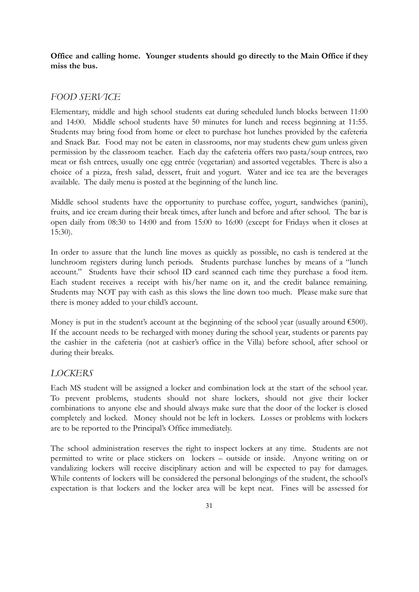**Office and calling home. Younger students should go directly to the Main Office if they miss the bus.**

#### <span id="page-31-0"></span>*FOOD SERVICE*

Elementary, middle and high school students eat during scheduled lunch blocks between 11:00 and 14:00. Middle school students have 50 minutes for lunch and recess beginning at 11:55. Students may bring food from home or elect to purchase hot lunches provided by the cafeteria and Snack Bar. Food may not be eaten in classrooms, nor may students chew gum unless given permission by the classroom teacher. Each day the cafeteria offers two pasta/soup entrees, two meat or fish entrees, usually one egg entrée (vegetarian) and assorted vegetables. There is also a choice of a pizza, fresh salad, dessert, fruit and yogurt. Water and ice tea are the beverages available. The daily menu is posted at the beginning of the lunch line.

Middle school students have the opportunity to purchase coffee, yogurt, sandwiches (panini), fruits, and ice cream during their break times, after lunch and before and after school. The bar is open daily from 08:30 to 14:00 and from 15:00 to 16:00 (except for Fridays when it closes at 15:30).

In order to assure that the lunch line moves as quickly as possible, no cash is tendered at the lunchroom registers during lunch periods. Students purchase lunches by means of a "lunch account." Students have their school ID card scanned each time they purchase a food item. Each student receives a receipt with his/her name on it, and the credit balance remaining. Students may NOT pay with cash as this slows the line down too much. Please make sure that there is money added to your child's account.

Money is put in the student's account at the beginning of the school year (usually around €500). If the account needs to be recharged with money during the school year, students or parents pay the cashier in the cafeteria (not at cashier's office in the Villa) before school, after school or during their breaks.

#### <span id="page-31-1"></span>*LOCKERS*

Each MS student will be assigned a locker and combination lock at the start of the school year. To prevent problems, students should not share lockers, should not give their locker combinations to anyone else and should always make sure that the door of the locker is closed completely and locked. Money should not be left in lockers. Losses or problems with lockers are to be reported to the Principal's Office immediately.

The school administration reserves the right to inspect lockers at any time. Students are not permitted to write or place stickers on lockers – outside or inside. Anyone writing on or vandalizing lockers will receive disciplinary action and will be expected to pay for damages. While contents of lockers will be considered the personal belongings of the student, the school's expectation is that lockers and the locker area will be kept neat. Fines will be assessed for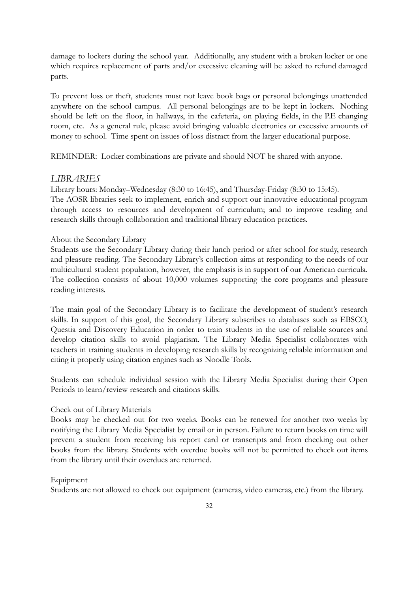damage to lockers during the school year. Additionally, any student with a broken locker or one which requires replacement of parts and/or excessive cleaning will be asked to refund damaged parts.

To prevent loss or theft, students must not leave book bags or personal belongings unattended anywhere on the school campus. All personal belongings are to be kept in lockers. Nothing should be left on the floor, in hallways, in the cafeteria, on playing fields, in the P.E changing room, etc. As a general rule, please avoid bringing valuable electronics or excessive amounts of money to school. Time spent on issues of loss distract from the larger educational purpose.

REMINDER: Locker combinations are private and should NOT be shared with anyone.

#### *LIBRARIES*

Library hours: Monday–Wednesday (8:30 to 16:45), and Thursday-Friday (8:30 to 15:45). The AOSR libraries seek to implement, enrich and support our innovative educational program through access to resources and development of curriculum; and to improve reading and research skills through collaboration and traditional library education practices.

#### About the Secondary Library

Students use the Secondary Library during their lunch period or after school for study, research and pleasure reading. The Secondary Library's collection aims at responding to the needs of our multicultural student population, however, the emphasis is in support of our American curricula. The collection consists of about 10,000 volumes supporting the core programs and pleasure reading interests.

The main goal of the Secondary Library is to facilitate the development of student's research skills. In support of this goal, the Secondary Library subscribes to databases such as EBSCO, Questia and Discovery Education in order to train students in the use of reliable sources and develop citation skills to avoid plagiarism. The Library Media Specialist collaborates with teachers in training students in developing research skills by recognizing reliable information and citing it properly using citation engines such as Noodle Tools.

Students can schedule individual session with the Library Media Specialist during their Open Periods to learn/review research and citations skills.

#### Check out of Library Materials

Books may be checked out for two weeks. Books can be renewed for another two weeks by notifying the Library Media Specialist by email or in person. Failure to return books on time will prevent a student from receiving his report card or transcripts and from checking out other books from the library. Students with overdue books will not be permitted to check out items from the library until their overdues are returned.

#### Equipment

Students are not allowed to check out equipment (cameras, video cameras, etc.) from the library.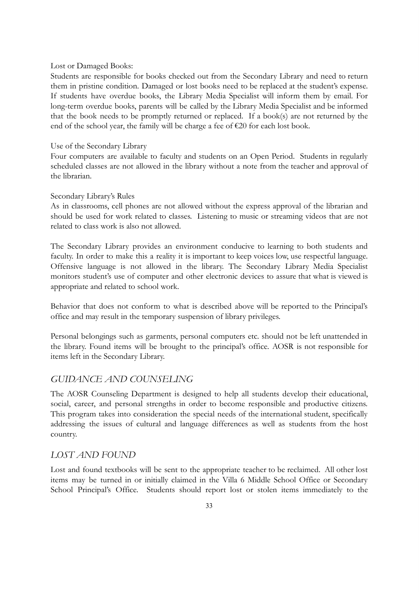Lost or Damaged Books:

Students are responsible for books checked out from the Secondary Library and need to return them in pristine condition. Damaged or lost books need to be replaced at the student's expense. If students have overdue books, the Library Media Specialist will inform them by email. For long-term overdue books, parents will be called by the Library Media Specialist and be informed that the book needs to be promptly returned or replaced. If a book(s) are not returned by the end of the school year, the family will be charge a fee of  $E20$  for each lost book.

#### Use of the Secondary Library

Four computers are available to faculty and students on an Open Period. Students in regularly scheduled classes are not allowed in the library without a note from the teacher and approval of the librarian.

#### Secondary Library's Rules

As in classrooms, cell phones are not allowed without the express approval of the librarian and should be used for work related to classes. Listening to music or streaming videos that are not related to class work is also not allowed.

The Secondary Library provides an environment conducive to learning to both students and faculty. In order to make this a reality it is important to keep voices low, use respectful language. Offensive language is not allowed in the library. The Secondary Library Media Specialist monitors student's use of computer and other electronic devices to assure that what is viewed is appropriate and related to school work.

Behavior that does not conform to what is described above will be reported to the Principal's office and may result in the temporary suspension of library privileges.

Personal belongings such as garments, personal computers etc. should not be left unattended in the library. Found items will be brought to the principal's office. AOSR is not responsible for items left in the Secondary Library.

#### <span id="page-33-0"></span>*GUIDANCE AND COUNSELING*

The AOSR Counseling Department is designed to help all students develop their educational, social, career, and personal strengths in order to become responsible and productive citizens. This program takes into consideration the special needs of the international student, specifically addressing the issues of cultural and language differences as well as students from the host country.

#### *LOST AND FOUND*

Lost and found textbooks will be sent to the appropriate teacher to be reclaimed. All other lost items may be turned in or initially claimed in the Villa 6 Middle School Office or Secondary School Principal's Office. Students should report lost or stolen items immediately to the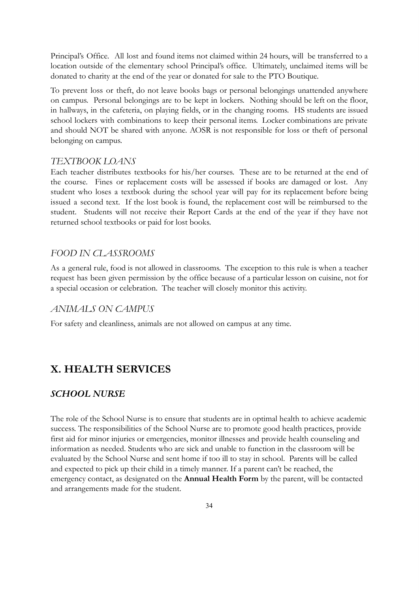Principal's Office. All lost and found items not claimed within 24 hours, will be transferred to a location outside of the elementary school Principal's office. Ultimately, unclaimed items will be donated to charity at the end of the year or donated for sale to the PTO Boutique.

To prevent loss or theft, do not leave books bags or personal belongings unattended anywhere on campus. Personal belongings are to be kept in lockers. Nothing should be left on the floor, in hallways, in the cafeteria, on playing fields, or in the changing rooms. HS students are issued school lockers with combinations to keep their personal items. Locker combinations are private and should NOT be shared with anyone. AOSR is not responsible for loss or theft of personal belonging on campus.

#### *TEXTBOOK LOANS*

Each teacher distributes textbooks for his/her courses. These are to be returned at the end of the course. Fines or replacement costs will be assessed if books are damaged or lost. Any student who loses a textbook during the school year will pay for its replacement before being issued a second text. If the lost book is found, the replacement cost will be reimbursed to the student. Students will not receive their Report Cards at the end of the year if they have not returned school textbooks or paid for lost books.

#### *FOOD IN CLASSROOMS*

As a general rule, food is not allowed in classrooms. The exception to this rule is when a teacher request has been given permission by the office because of a particular lesson on cuisine, not for a special occasion or celebration. The teacher will closely monitor this activity.

#### *ANIMALS ON CAMPUS*

For safety and cleanliness, animals are not allowed on campus at any time.

#### <span id="page-34-0"></span>**X. HEALTH SERVICES**

#### <span id="page-34-1"></span>*SCHOOL NURSE*

The role of the School Nurse is to ensure that students are in optimal health to achieve academic success. The responsibilities of the School Nurse are to promote good health practices, provide first aid for minor injuries or emergencies, monitor illnesses and provide health counseling and information as needed. Students who are sick and unable to function in the classroom will be evaluated by the School Nurse and sent home if too ill to stay in school. Parents will be called and expected to pick up their child in a timely manner. If a parent can't be reached, the emergency contact, as designated on the **Annual Health Form** by the parent, will be contacted and arrangements made for the student.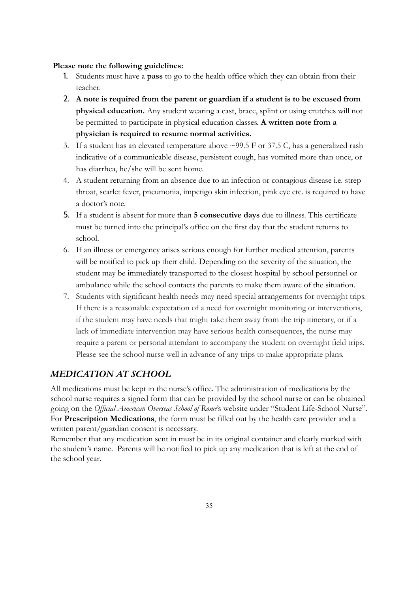#### **Please note the following guidelines:**

- 1. Students must have a **pass** to go to the health office which they can obtain from their teacher.
- 2. **A note is required from the parent or guardian if a student is to be excused from physical education.** Any student wearing a cast, brace, splint or using crutches will not be permitted to participate in physical education classes. **A written note from a physician is required to resume normal activities.**
- 3. If a student has an elevated temperature above ~99.5 F or 37.5 C, has a generalized rash indicative of a communicable disease, persistent cough, has vomited more than once, or has diarrhea, he/she will be sent home.
- 4. A student returning from an absence due to an infection or contagious disease i.e. strep throat, scarlet fever, pneumonia, impetigo skin infection, pink eye etc. is required to have a doctor's note.
- 5. If a student is absent for more than **5 consecutive days** due to illness. This certificate must be turned into the principal's office on the first day that the student returns to school.
- 6. If an illness or emergency arises serious enough for further medical attention, parents will be notified to pick up their child. Depending on the severity of the situation, the student may be immediately transported to the closest hospital by school personnel or ambulance while the school contacts the parents to make them aware of the situation.
- 7. Students with significant health needs may need special arrangements for overnight trips. If there is a reasonable expectation of a need for overnight monitoring or interventions, if the student may have needs that might take them away from the trip itinerary, or if a lack of immediate intervention may have serious health consequences, the nurse may require a parent or personal attendant to accompany the student on overnight field trips. Please see the school nurse well in advance of any trips to make appropriate plans.

#### <span id="page-35-0"></span>*MEDICATION AT SCHOOL*

All medications must be kept in the nurse's office. The administration of medications by the school nurse requires a signed form that can be provided by the school nurse or can be obtained going on the *Official American Overseas School of Rome*'s website under "Student Life-School Nurse". For **Prescription Medications**, the form must be filled out by the health care provider and a written parent/guardian consent is necessary.

Remember that any medication sent in must be in its original container and clearly marked with the student's name. Parents will be notified to pick up any medication that is left at the end of the school year.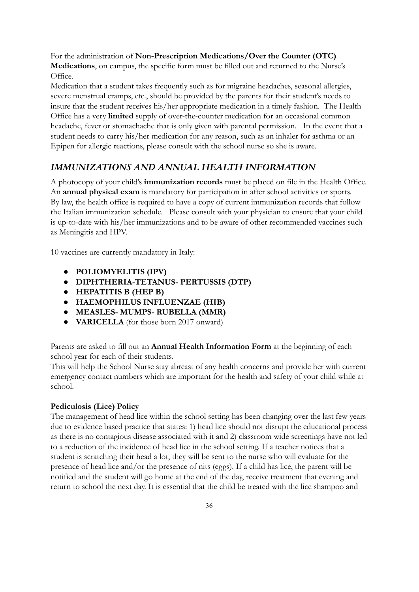For the administration of **Non-Prescription Medications/Over the Counter (OTC) Medications**, on campus, the specific form must be filled out and returned to the Nurse's Office.

Medication that a student takes frequently such as for migraine headaches, seasonal allergies, severe menstrual cramps, etc., should be provided by the parents for their student's needs to insure that the student receives his/her appropriate medication in a timely fashion. The Health Office has a very **limited** supply of over-the-counter medication for an occasional common headache, fever or stomachache that is only given with parental permission. In the event that a student needs to carry his/her medication for any reason, such as an inhaler for asthma or an Epipen for allergic reactions, please consult with the school nurse so she is aware.

#### <span id="page-36-0"></span>*IMMUNIZATIONS AND ANNUAL HEALTH INFORMATION*

A photocopy of your child's **immunization records** must be placed on file in the Health Office. An **annual physical exam** is mandatory for participation in after school activities or sports. By law, the health office is required to have a copy of current immunization records that follow the Italian immunization schedule. Please consult with your physician to ensure that your child is up-to-date with his/her immunizations and to be aware of other recommended vaccines such as Meningitis and HPV.

10 vaccines are currently mandatory in Italy:

- **● POLIOMYELITIS (IPV)**
- **● DIPHTHERIA-TETANUS- PERTUSSIS (DTP)**
- **● HEPATITIS B (HEP B)**
- **● HAEMOPHILUS INFLUENZAE (HIB)**
- **● MEASLES- MUMPS- RUBELLA (MMR)**
- **VARICELLA** (for those born 2017 onward)

Parents are asked to fill out an **Annual Health Information Form** at the beginning of each school year for each of their students.

This will help the School Nurse stay abreast of any health concerns and provide her with current emergency contact numbers which are important for the health and safety of your child while at school.

#### **Pediculosis (Lice) Policy**

The management of head lice within the school setting has been changing over the last few years due to evidence based practice that states: 1) head lice should not disrupt the educational process as there is no contagious disease associated with it and 2) classroom wide screenings have not led to a reduction of the incidence of head lice in the school setting. If a teacher notices that a student is scratching their head a lot, they will be sent to the nurse who will evaluate for the presence of head lice and/or the presence of nits (eggs). If a child has lice, the parent will be notified and the student will go home at the end of the day, receive treatment that evening and return to school the next day. It is essential that the child be treated with the lice shampoo and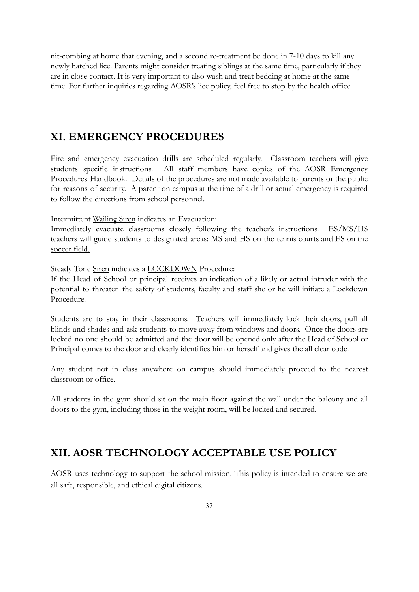nit-combing at home that evening, and a second re-treatment be done in 7-10 days to kill any newly hatched lice. Parents might consider treating siblings at the same time, particularly if they are in close contact. It is very important to also wash and treat bedding at home at the same time. For further inquiries regarding AOSR's lice policy, feel free to stop by the health office.

#### <span id="page-37-0"></span>**XI. EMERGENCY PROCEDURES**

Fire and emergency evacuation drills are scheduled regularly. Classroom teachers will give students specific instructions. All staff members have copies of the AOSR Emergency Procedures Handbook. Details of the procedures are not made available to parents or the public for reasons of security. A parent on campus at the time of a drill or actual emergency is required to follow the directions from school personnel.

Intermittent Wailing Siren indicates an Evacuation:

Immediately evacuate classrooms closely following the teacher's instructions. ES/MS/HS teachers will guide students to designated areas: MS and HS on the tennis courts and ES on the soccer field.

Steady Tone Siren indicates a **LOCKDOWN** Procedure:

If the Head of School or principal receives an indication of a likely or actual intruder with the potential to threaten the safety of students, faculty and staff she or he will initiate a Lockdown Procedure.

Students are to stay in their classrooms. Teachers will immediately lock their doors, pull all blinds and shades and ask students to move away from windows and doors. Once the doors are locked no one should be admitted and the door will be opened only after the Head of School or Principal comes to the door and clearly identifies him or herself and gives the all clear code.

Any student not in class anywhere on campus should immediately proceed to the nearest classroom or office.

All students in the gym should sit on the main floor against the wall under the balcony and all doors to the gym, including those in the weight room, will be locked and secured.

#### <span id="page-37-1"></span>**XII. AOSR TECHNOLOGY ACCEPTABLE USE POLICY**

AOSR uses technology to support the school mission. This policy is intended to ensure we are all safe, responsible, and ethical digital citizens.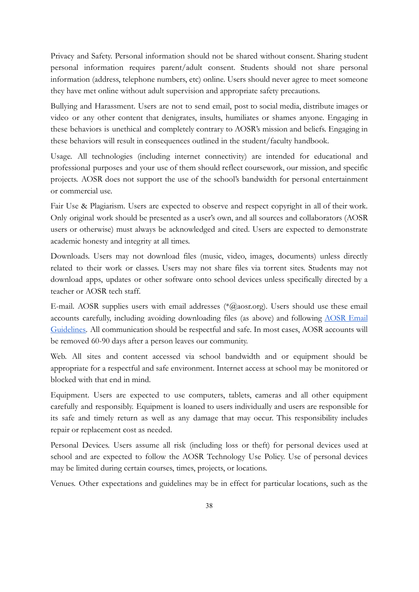Privacy and Safety. Personal information should not be shared without consent. Sharing student personal information requires parent/adult consent. Students should not share personal information (address, telephone numbers, etc) online. Users should never agree to meet someone they have met online without adult supervision and appropriate safety precautions.

Bullying and Harassment. Users are not to send email, post to social media, distribute images or video or any other content that denigrates, insults, humiliates or shames anyone. Engaging in these behaviors is unethical and completely contrary to AOSR's mission and beliefs. Engaging in these behaviors will result in consequences outlined in the student/faculty handbook.

Usage. All technologies (including internet connectivity) are intended for educational and professional purposes and your use of them should reflect coursework, our mission, and specific projects. AOSR does not support the use of the school's bandwidth for personal entertainment or commercial use.

Fair Use & Plagiarism. Users are expected to observe and respect copyright in all of their work. Only original work should be presented as a user's own, and all sources and collaborators (AOSR users or otherwise) must always be acknowledged and cited. Users are expected to demonstrate academic honesty and integrity at all times.

Downloads. Users may not download files (music, video, images, documents) unless directly related to their work or classes. Users may not share files via torrent sites. Students may not download apps, updates or other software onto school devices unless specifically directed by a teacher or AOSR tech staff.

E-mail. AOSR supplies users with email addresses (\*@aosr.org). Users should use these email accounts carefully, including avoiding downloading files (as above) and following [AOSR](https://docs.google.com/document/d/1KZ9WryA9GYjgtSPqSIG01zV2Rv9D3AAyZFhmcV9L6Ao/edit#heading=h.kva1i460e9ga) Email [Guidelines.](https://docs.google.com/document/d/1KZ9WryA9GYjgtSPqSIG01zV2Rv9D3AAyZFhmcV9L6Ao/edit#heading=h.kva1i460e9ga) All communication should be respectful and safe. In most cases, AOSR accounts will be removed 60-90 days after a person leaves our community.

Web. All sites and content accessed via school bandwidth and or equipment should be appropriate for a respectful and safe environment. Internet access at school may be monitored or blocked with that end in mind.

Equipment. Users are expected to use computers, tablets, cameras and all other equipment carefully and responsibly. Equipment is loaned to users individually and users are responsible for its safe and timely return as well as any damage that may occur. This responsibility includes repair or replacement cost as needed.

Personal Devices. Users assume all risk (including loss or theft) for personal devices used at school and are expected to follow the AOSR Technology Use Policy. Use of personal devices may be limited during certain courses, times, projects, or locations.

Venues. Other expectations and guidelines may be in effect for particular locations, such as the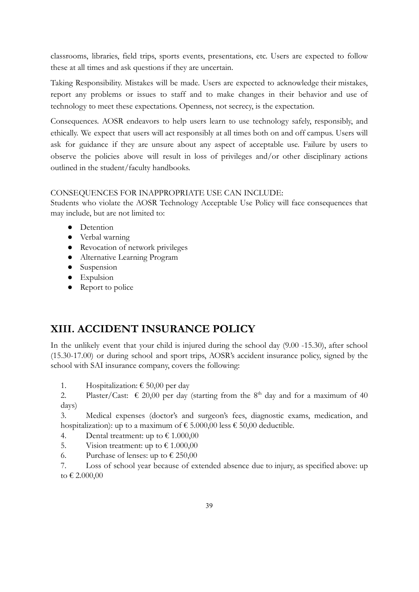classrooms, libraries, field trips, sports events, presentations, etc. Users are expected to follow these at all times and ask questions if they are uncertain.

Taking Responsibility. Mistakes will be made. Users are expected to acknowledge their mistakes, report any problems or issues to staff and to make changes in their behavior and use of technology to meet these expectations. Openness, not secrecy, is the expectation.

Consequences. AOSR endeavors to help users learn to use technology safely, responsibly, and ethically. We expect that users will act responsibly at all times both on and off campus. Users will ask for guidance if they are unsure about any aspect of acceptable use. Failure by users to observe the policies above will result in loss of privileges and/or other disciplinary actions outlined in the student/faculty handbooks.

#### CONSEQUENCES FOR INAPPROPRIATE USE CAN INCLUDE:

Students who violate the AOSR Technology Acceptable Use Policy will face consequences that may include, but are not limited to:

- Detention
- Verbal warning
- Revocation of network privileges
- Alternative Learning Program
- Suspension
- Expulsion
- Report to police

## <span id="page-39-0"></span>**XIII. ACCIDENT INSURANCE POLICY**

In the unlikely event that your child is injured during the school day (9.00 -15.30), after school (15.30-17.00) or during school and sport trips, AOSR's accident insurance policy, signed by the school with SAI insurance company, covers the following:

1. Hospitalization:  $\epsilon$  50,00 per day

2. Plaster/Cast:  $\epsilon$  20,00 per day (starting from the 8<sup>th</sup> day and for a maximum of 40 days)

3. Medical expenses (doctor's and surgeon's fees, diagnostic exams, medication, and hospitalization): up to a maximum of  $\epsilon$  5.000,00 less  $\epsilon$  50,00 deductible.

- 4. Dental treatment: up to  $\text{\textsterling} 1.000,00$
- 5. Vision treatment: up to  $\text{\textsterling} 1.000,00$
- 6. Purchase of lenses: up to  $\epsilon$  250,00

7. Loss of school year because of extended absence due to injury, as specified above: up to € 2.000,00